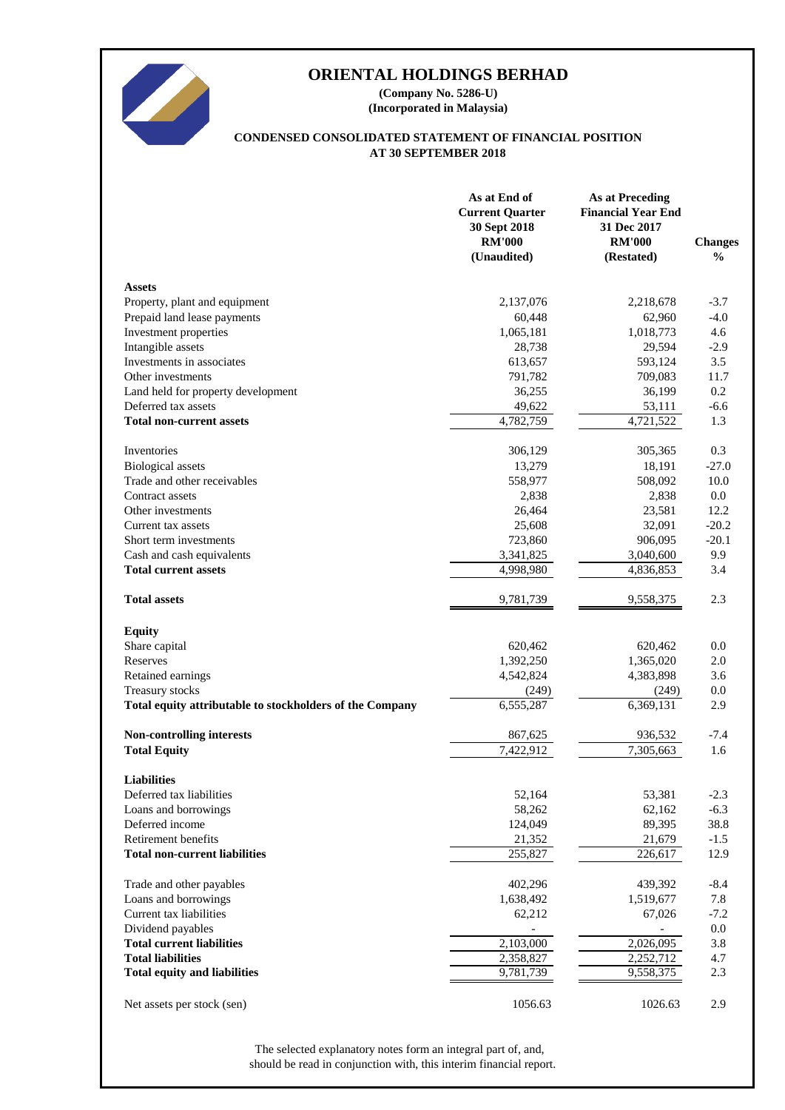

**(Incorporated in Malaysia) (Company No. 5286-U)**

#### **AT 30 SEPTEMBER 2018 CONDENSED CONSOLIDATED STATEMENT OF FINANCIAL POSITION**

|                                                          | As at End of<br><b>Current Quarter</b><br>30 Sept 2018<br><b>RM'000</b><br>(Unaudited) | <b>As at Preceding</b><br><b>Financial Year End</b><br>31 Dec 2017<br><b>RM'000</b><br>(Restated) | <b>Changes</b><br>$\frac{0}{0}$ |
|----------------------------------------------------------|----------------------------------------------------------------------------------------|---------------------------------------------------------------------------------------------------|---------------------------------|
| <b>Assets</b>                                            |                                                                                        |                                                                                                   |                                 |
| Property, plant and equipment                            | 2,137,076                                                                              | 2,218,678                                                                                         | $-3.7$                          |
| Prepaid land lease payments                              | 60,448                                                                                 | 62,960                                                                                            | $-4.0$                          |
| Investment properties                                    | 1,065,181                                                                              | 1,018,773                                                                                         | 4.6                             |
| Intangible assets                                        | 28,738                                                                                 | 29,594                                                                                            | $-2.9$                          |
| Investments in associates                                | 613,657                                                                                | 593,124                                                                                           | 3.5                             |
| Other investments                                        | 791,782                                                                                | 709,083                                                                                           | 11.7                            |
| Land held for property development                       | 36,255                                                                                 | 36,199                                                                                            | 0.2                             |
| Deferred tax assets                                      | 49,622                                                                                 | 53,111                                                                                            | $-6.6$                          |
| <b>Total non-current assets</b>                          | 4,782,759                                                                              | 4,721,522                                                                                         | 1.3                             |
| Inventories                                              | 306,129                                                                                | 305,365                                                                                           | 0.3                             |
| <b>Biological</b> assets                                 | 13,279                                                                                 | 18,191                                                                                            | $-27.0$                         |
| Trade and other receivables                              | 558,977                                                                                | 508,092                                                                                           | 10.0                            |
| Contract assets                                          | 2,838                                                                                  | 2,838                                                                                             | $0.0\,$                         |
| Other investments                                        | 26,464                                                                                 | 23,581                                                                                            | 12.2                            |
| Current tax assets                                       | 25,608                                                                                 | 32,091                                                                                            | $-20.2$                         |
| Short term investments                                   | 723,860                                                                                | 906,095                                                                                           | $-20.1$                         |
| Cash and cash equivalents                                | 3,341,825                                                                              | 3,040,600                                                                                         | 9.9                             |
| <b>Total current assets</b>                              | 4,998,980                                                                              | 4,836,853                                                                                         | 3.4                             |
| <b>Total assets</b>                                      | 9,781,739                                                                              | 9,558,375                                                                                         | 2.3                             |
| <b>Equity</b>                                            |                                                                                        |                                                                                                   |                                 |
| Share capital                                            | 620,462                                                                                | 620,462                                                                                           | 0.0                             |
| Reserves                                                 | 1,392,250                                                                              | 1,365,020                                                                                         | 2.0                             |
| Retained earnings                                        | 4,542,824                                                                              | 4,383,898                                                                                         | 3.6                             |
| Treasury stocks                                          | (249)                                                                                  | (249)                                                                                             | 0.0                             |
| Total equity attributable to stockholders of the Company | 6,555,287                                                                              | 6,369,131                                                                                         | 2.9                             |
| Non-controlling interests                                | 867,625                                                                                | 936,532                                                                                           | $-7.4$                          |
| <b>Total Equity</b>                                      | 7,422,912                                                                              | 7,305,663                                                                                         | 1.6                             |
| <b>Liabilities</b>                                       |                                                                                        |                                                                                                   |                                 |
| Deferred tax liabilities                                 | 52,164                                                                                 | 53,381                                                                                            | $-2.3$                          |
| Loans and borrowings                                     | 58,262                                                                                 | 62,162                                                                                            | $-6.3$                          |
| Deferred income                                          | 124,049                                                                                | 89,395                                                                                            | 38.8                            |
| Retirement benefits                                      | 21,352                                                                                 | 21,679                                                                                            | $-1.5$                          |
| <b>Total non-current liabilities</b>                     | 255,827                                                                                | 226,617                                                                                           | 12.9                            |
| Trade and other payables                                 | 402,296                                                                                | 439,392                                                                                           | $-8.4$                          |
| Loans and borrowings                                     | 1,638,492                                                                              | 1,519,677                                                                                         | 7.8                             |
| Current tax liabilities                                  | 62,212                                                                                 | 67,026                                                                                            | $-7.2$                          |
| Dividend payables                                        |                                                                                        |                                                                                                   | $0.0\,$                         |
| <b>Total current liabilities</b>                         | 2,103,000                                                                              | 2,026,095                                                                                         | 3.8                             |
| <b>Total liabilities</b>                                 | 2,358,827                                                                              | 2,252,712                                                                                         | 4.7                             |
| <b>Total equity and liabilities</b>                      | 9,781,739                                                                              | 9,558,375                                                                                         | 2.3                             |
| Net assets per stock (sen)                               | 1056.63                                                                                | 1026.63                                                                                           | 2.9                             |

should be read in conjunction with, this interim financial report. The selected explanatory notes form an integral part of, and,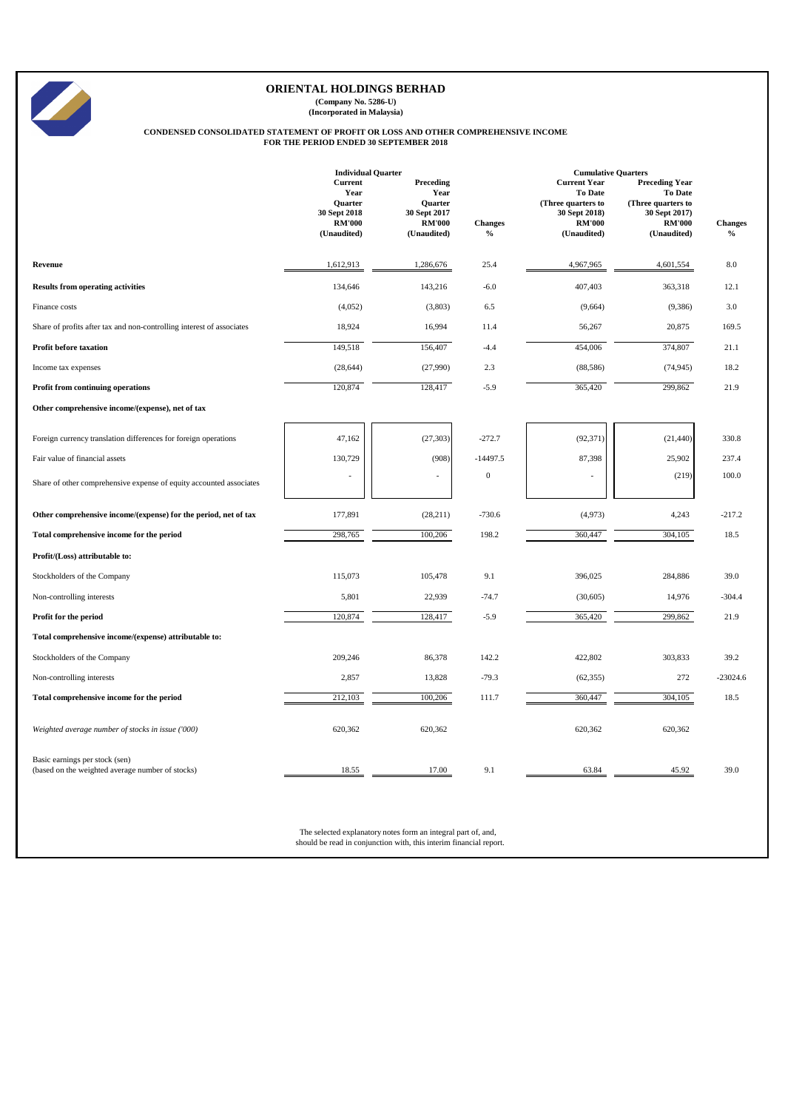**(Company No. 5286-U) (Incorporated in Malaysia)**

# **CONDENSED CONSOLIDATED STATEMENT OF PROFIT OR LOSS AND OTHER COMPREHENSIVE INCOME FOR THE PERIOD ENDED 30 SEPTEMBER 2018**

|                                                                                    | <b>Individual Quarter</b>                                                         |                                                                                     |                        | <b>Cumulative Quarters</b>                                                                                   |                                                                                                                |                        |  |
|------------------------------------------------------------------------------------|-----------------------------------------------------------------------------------|-------------------------------------------------------------------------------------|------------------------|--------------------------------------------------------------------------------------------------------------|----------------------------------------------------------------------------------------------------------------|------------------------|--|
|                                                                                    | Current<br>Year<br><b>Ouarter</b><br>30 Sept 2018<br><b>RM'000</b><br>(Unaudited) | Preceding<br>Year<br><b>Ouarter</b><br>30 Sept 2017<br><b>RM'000</b><br>(Unaudited) | <b>Changes</b><br>$\%$ | <b>Current Year</b><br><b>To Date</b><br>(Three quarters to<br>30 Sept 2018)<br><b>RM'000</b><br>(Unaudited) | <b>Preceding Year</b><br><b>To Date</b><br>(Three quarters to<br>30 Sept 2017)<br><b>RM'000</b><br>(Unaudited) | <b>Changes</b><br>$\%$ |  |
| Revenue                                                                            | 1,612,913                                                                         | 1,286,676                                                                           | 25.4                   | 4,967,965                                                                                                    | 4,601,554                                                                                                      | $8.0\,$                |  |
| <b>Results from operating activities</b>                                           | 134,646                                                                           | 143,216                                                                             | $-6.0$                 | 407,403                                                                                                      | 363,318                                                                                                        | 12.1                   |  |
| Finance costs                                                                      | (4,052)                                                                           | (3,803)                                                                             | 6.5                    | (9,664)                                                                                                      | (9, 386)                                                                                                       | 3.0                    |  |
| Share of profits after tax and non-controlling interest of associates              | 18,924                                                                            | 16,994                                                                              | 11.4                   | 56,267                                                                                                       | 20,875                                                                                                         | 169.5                  |  |
| <b>Profit before taxation</b>                                                      | 149,518                                                                           | 156,407                                                                             | $-4.4$                 | 454,006                                                                                                      | 374,807                                                                                                        | 21.1                   |  |
| Income tax expenses                                                                | (28, 644)                                                                         | (27,990)                                                                            | 2.3                    | (88, 586)                                                                                                    | (74, 945)                                                                                                      | 18.2                   |  |
| <b>Profit from continuing operations</b>                                           | 120,874                                                                           | 128,417                                                                             | $-5.9$                 | 365,420                                                                                                      | 299,862                                                                                                        | 21.9                   |  |
| Other comprehensive income/(expense), net of tax                                   |                                                                                   |                                                                                     |                        |                                                                                                              |                                                                                                                |                        |  |
| Foreign currency translation differences for foreign operations                    | 47,162                                                                            | (27, 303)                                                                           | $-272.7$               | (92, 371)                                                                                                    | (21, 440)                                                                                                      | 330.8                  |  |
| Fair value of financial assets                                                     | 130,729                                                                           | (908)                                                                               | $-14497.5$             | 87,398                                                                                                       | 25,902                                                                                                         | 237.4                  |  |
| Share of other comprehensive expense of equity accounted associates                |                                                                                   |                                                                                     | $\boldsymbol{0}$       |                                                                                                              | (219)                                                                                                          | 100.0                  |  |
| Other comprehensive income/(expense) for the period, net of tax                    | 177,891                                                                           | (28, 211)                                                                           | $-730.6$               | (4,973)                                                                                                      | 4,243                                                                                                          | $-217.2$               |  |
| Total comprehensive income for the period                                          | 298,765                                                                           | 100,206                                                                             | 198.2                  | 360,447                                                                                                      | 304,105                                                                                                        | 18.5                   |  |
| Profit/(Loss) attributable to:                                                     |                                                                                   |                                                                                     |                        |                                                                                                              |                                                                                                                |                        |  |
| Stockholders of the Company                                                        | 115,073                                                                           | 105,478                                                                             | 9.1                    | 396,025                                                                                                      | 284,886                                                                                                        | 39.0                   |  |
| Non-controlling interests                                                          | 5,801                                                                             | 22,939                                                                              | $-74.7$                | (30,605)                                                                                                     | 14,976                                                                                                         | $-304.4$               |  |
| Profit for the period                                                              | 120,874                                                                           | 128,417                                                                             | $-5.9$                 | 365,420                                                                                                      | 299,862                                                                                                        | 21.9                   |  |
| Total comprehensive income/(expense) attributable to:                              |                                                                                   |                                                                                     |                        |                                                                                                              |                                                                                                                |                        |  |
| Stockholders of the Company                                                        | 209,246                                                                           | 86,378                                                                              | 142.2                  | 422,802                                                                                                      | 303,833                                                                                                        | 39.2                   |  |
| Non-controlling interests                                                          | 2,857                                                                             | 13,828                                                                              | $-79.3$                | (62, 355)                                                                                                    | 272                                                                                                            | $-23024.6$             |  |
| Total comprehensive income for the period                                          | 212,103                                                                           | 100,206                                                                             | 111.7                  | 360,447                                                                                                      | 304,105                                                                                                        | 18.5                   |  |
| Weighted average number of stocks in issue ('000)                                  | 620,362                                                                           | 620,362                                                                             |                        | 620,362                                                                                                      | 620,362                                                                                                        |                        |  |
| Basic earnings per stock (sen)<br>(based on the weighted average number of stocks) | 18.55                                                                             | 17.00                                                                               | 9.1                    | 63.84                                                                                                        | 45.92                                                                                                          | 39.0                   |  |

The selected explanatory notes form an integral part of, and, should be read in conjunction with, this interim financial report.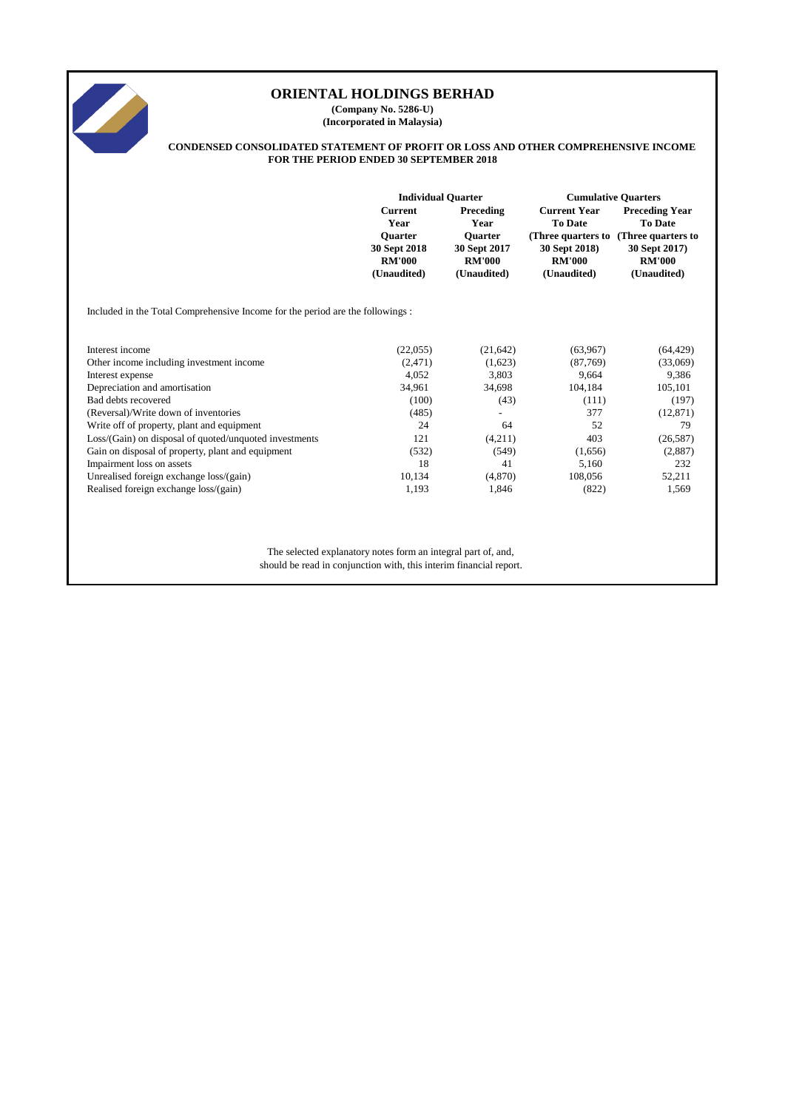

**(Company No. 5286-U) (Incorporated in Malaysia)**

#### **CONDENSED CONSOLIDATED STATEMENT OF PROFIT OR LOSS AND OTHER COMPREHENSIVE INCOME FOR THE PERIOD ENDED 30 SEPTEMBER 2018**

|                                                                               | <b>Individual Quarter</b>                                      |                                                                | <b>Cumulative Quarters</b>                    |                                                                                         |  |
|-------------------------------------------------------------------------------|----------------------------------------------------------------|----------------------------------------------------------------|-----------------------------------------------|-----------------------------------------------------------------------------------------|--|
|                                                                               | <b>Current</b><br>Year                                         | Preceding<br>Year                                              | <b>Current Year</b><br><b>To Date</b>         | <b>Preceding Year</b><br><b>To Date</b>                                                 |  |
|                                                                               | <b>Ouarter</b><br>30 Sept 2018<br><b>RM'000</b><br>(Unaudited) | <b>Ouarter</b><br>30 Sept 2017<br><b>RM'000</b><br>(Unaudited) | 30 Sept 2018)<br><b>RM'000</b><br>(Unaudited) | (Three quarters to (Three quarters to)<br>30 Sept 2017)<br><b>RM'000</b><br>(Unaudited) |  |
| Included in the Total Comprehensive Income for the period are the followings: |                                                                |                                                                |                                               |                                                                                         |  |
| Interest income                                                               | (22,055)                                                       | (21, 642)                                                      | (63,967)                                      | (64, 429)                                                                               |  |
| Other income including investment income                                      | (2,471)                                                        | (1,623)                                                        | (87,769)                                      | (33,069)                                                                                |  |
| Interest expense                                                              | 4,052                                                          | 3,803                                                          | 9,664                                         | 9,386                                                                                   |  |
| Depreciation and amortisation                                                 | 34,961                                                         | 34,698                                                         | 104,184                                       | 105,101                                                                                 |  |
| Bad debts recovered                                                           | (100)                                                          | (43)                                                           | (111)                                         | (197)                                                                                   |  |
| (Reversal)/Write down of inventories                                          | (485)                                                          |                                                                | 377                                           | (12, 871)                                                                               |  |
| Write off of property, plant and equipment                                    | 24                                                             | 64                                                             | 52                                            | 79                                                                                      |  |
| Loss/(Gain) on disposal of quoted/unquoted investments                        | 121                                                            | (4,211)                                                        | 403                                           | (26, 587)                                                                               |  |
| Gain on disposal of property, plant and equipment                             | (532)                                                          | (549)                                                          | (1,656)                                       | (2,887)                                                                                 |  |
| Impairment loss on assets                                                     | 18                                                             | 41                                                             | 5,160                                         | 232                                                                                     |  |
| Unrealised foreign exchange loss/(gain)                                       | 10,134                                                         | (4,870)                                                        | 108,056                                       | 52,211                                                                                  |  |
| Realised foreign exchange loss/(gain)                                         | 1,193                                                          | 1,846                                                          | (822)                                         | 1,569                                                                                   |  |
|                                                                               |                                                                |                                                                |                                               |                                                                                         |  |
|                                                                               |                                                                |                                                                |                                               |                                                                                         |  |
|                                                                               |                                                                |                                                                |                                               |                                                                                         |  |

The selected explanatory notes form an integral part of, and, should be read in conjunction with, this interim financial report.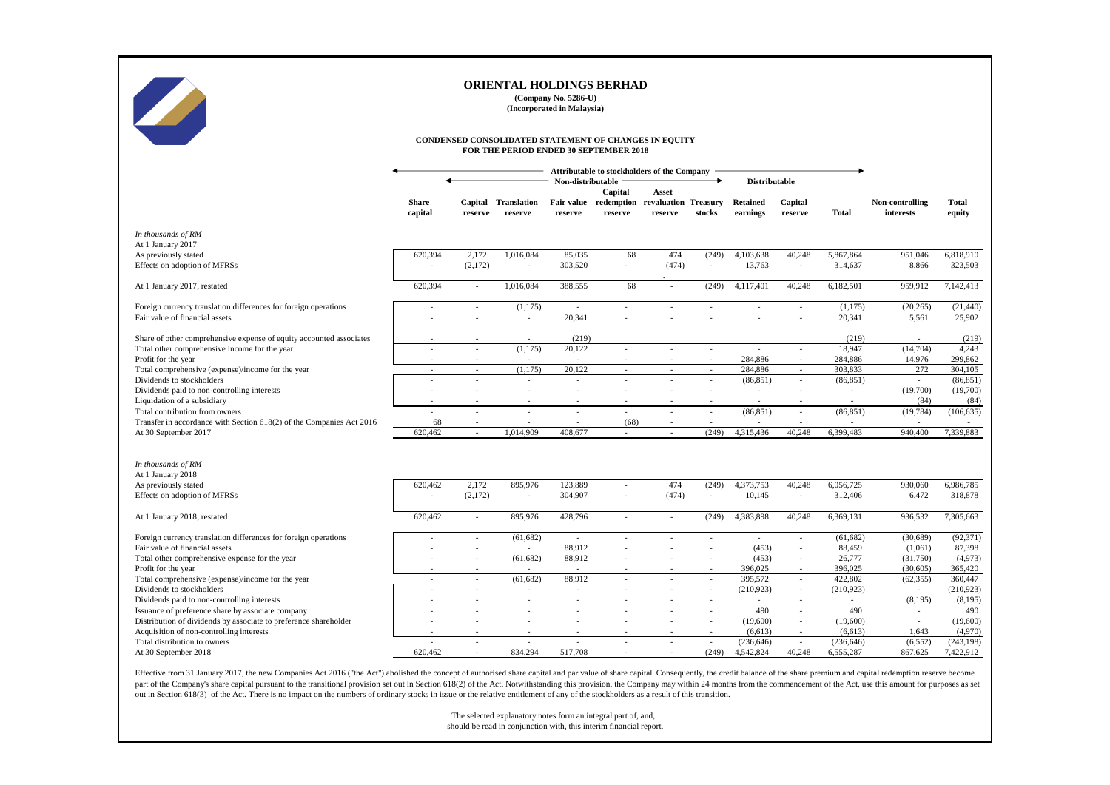

**(Company No. 5286-U) (Incorporated in Malaysia)**

#### **CONDENSED CONSOLIDATED STATEMENT OF CHANGES IN EQUITY FOR THE PERIOD ENDED 30 SEPTEMBER 2018**

|                                                                      |                          |                          |                               | Non-distributable            | Capital                  | Attributable to stockholders of the Company<br>Asset |                          | <b>Distributable</b>        |                             |              |                              |                        |
|----------------------------------------------------------------------|--------------------------|--------------------------|-------------------------------|------------------------------|--------------------------|------------------------------------------------------|--------------------------|-----------------------------|-----------------------------|--------------|------------------------------|------------------------|
|                                                                      | <b>Share</b><br>capital  | Capital<br>reserve       | <b>Translation</b><br>reserve | <b>Fair value</b><br>reserve | reserve                  | redemption revaluation Treasury<br>reserve           | stocks                   | <b>Retained</b><br>earnings | Capital<br>reserve          | <b>Total</b> | Non-controlling<br>interests | <b>Total</b><br>equity |
| In thousands of RM<br>At 1 January 2017                              |                          |                          |                               |                              |                          |                                                      |                          |                             |                             |              |                              |                        |
| As previously stated                                                 | 620,394                  | 2,172                    | 1,016,084                     | 85,035                       | 68                       | 474                                                  | (249)                    | 4,103,638                   | 40,248                      | 5,867,864    | 951,046                      | 6,818,910              |
| Effects on adoption of MFRSs                                         |                          | (2,172)                  | $\sim$                        | 303,520                      | ٠                        | (474)                                                | $\sim$                   | 13,763                      | ÷.                          | 314,637      | 8,866                        | 323,503                |
| At 1 January 2017, restated                                          | 620,394                  | $\sim$                   | 1,016,084                     | 388,555                      | 68                       |                                                      | (249)                    | 4,117,401                   | 40,248                      | 6,182,501    | 959,912                      | 7,142,413              |
| Foreign currency translation differences for foreign operations      |                          | $\overline{\phantom{a}}$ | (1,175)                       | $\sim$                       |                          |                                                      |                          |                             | ٠                           | (1,175)      | (20, 265)                    | (21, 440)              |
| Fair value of financial assets                                       |                          |                          |                               | 20,341                       |                          |                                                      |                          |                             |                             | 20,341       | 5,561                        | 25,902                 |
| Share of other comprehensive expense of equity accounted associates  |                          |                          |                               | (219)                        |                          |                                                      |                          |                             |                             | (219)        |                              | (219)                  |
| Total other comprehensive income for the year                        |                          | $\overline{\phantom{a}}$ | (1,175)                       | 20,122                       | ٠                        | ÷,                                                   | $\overline{\phantom{a}}$ | $\overline{\phantom{a}}$    | $\overline{a}$              | 18,947       | (14,704)                     | 4,243                  |
| Profit for the year                                                  |                          | $\overline{\phantom{a}}$ |                               |                              |                          |                                                      |                          | 284,886                     | ٠                           | 284,886      | 14,976                       | 299,862                |
| Total comprehensive (expense)/income for the year                    | $\overline{\phantom{a}}$ | $\sim$                   | (1, 175)                      | 20,122                       | $\sim$                   | $\sim$                                               | $\sim$                   | 284,886                     | $\mathcal{L}_{\mathcal{A}}$ | 303,833      | 272                          | 304,105                |
| Dividends to stockholders                                            |                          | $\sim$                   |                               |                              |                          |                                                      | $\overline{a}$           | (86, 851)                   | $\overline{\phantom{a}}$    | (86, 851)    | $\sim$                       | (86, 851)              |
| Dividends paid to non-controlling interests                          |                          |                          |                               |                              |                          |                                                      |                          | $\overline{\phantom{a}}$    | $\overline{a}$              | ٠            | (19,700)                     | (19,700)               |
| Liquidation of a subsidiary                                          |                          |                          |                               |                              |                          |                                                      |                          |                             |                             | $\sim$       | (84)                         | (84)                   |
| Total contribution from owners                                       | $\overline{\phantom{a}}$ | $\sim$                   | $\sim$                        | $\sim$                       | $\sim$                   | $\sim$                                               | $\sim$                   | (86, 851)                   | $\sim$                      | (86, 851)    | (19, 784)                    | (106, 635)             |
| Transfer in accordance with Section 618(2) of the Companies Act 2016 | 68                       | $\overline{\phantom{a}}$ | $\overline{\phantom{a}}$      | $\overline{\phantom{a}}$     | (68)                     | $\overline{\phantom{a}}$                             | $\overline{\phantom{a}}$ |                             | $\overline{\phantom{a}}$    |              |                              |                        |
| At 30 September 2017                                                 | 620,462                  | $\sim$                   | 1,014,909                     | 408,677                      | ٠                        |                                                      | (249)                    | 4,315,436                   | 40,248                      | 6,399,483    | 940,400                      | 7,339,883              |
| In thousands of RM                                                   |                          |                          |                               |                              |                          |                                                      |                          |                             |                             |              |                              |                        |
| At 1 January 2018                                                    |                          |                          |                               |                              |                          |                                                      |                          |                             |                             |              |                              |                        |
| As previously stated                                                 | 620.462                  | 2.172                    | 895,976                       | 123.889                      | ٠                        | 474                                                  | (249)                    | 4,373,753                   | 40,248                      | 6,056,725    | 930,060                      | 6,986,785              |
| Effects on adoption of MFRSs                                         |                          | (2,172)                  | $\overline{\phantom{a}}$      | 304,907                      |                          | (474)                                                | $\overline{\phantom{a}}$ | 10,145                      | $\overline{\phantom{a}}$    | 312,406      | 6,472                        | 318,878                |
|                                                                      |                          |                          |                               |                              |                          |                                                      |                          |                             |                             |              |                              |                        |
| At 1 January 2018, restated                                          | 620,462                  | $\overline{\phantom{a}}$ | 895,976                       | 428,796                      | ٠                        | ×.                                                   | (249)                    | 4,383,898                   | 40,248                      | 6,369,131    | 936,532                      | 7,305,663              |
| Foreign currency translation differences for foreign operations      | $\overline{\phantom{a}}$ | $\overline{\phantom{a}}$ | (61, 682)                     | $\sim$                       | ٠                        |                                                      |                          | $\sim$                      | $\overline{\phantom{a}}$    | (61, 682)    | (30,689)                     | (92, 371)              |
| Fair value of financial assets                                       |                          |                          |                               | 88,912                       |                          |                                                      |                          | (453)                       |                             | 88,459       | (1,061)                      | 87,398                 |
| Total other comprehensive expense for the year                       |                          | $\overline{\phantom{a}}$ | (61, 682)                     | 88,912                       |                          |                                                      |                          | (453)                       | ٠                           | 26,777       | (31,750)                     | (4,973)                |
| Profit for the year                                                  |                          | $\overline{\phantom{a}}$ |                               |                              |                          | $\overline{\phantom{a}}$                             |                          | 396,025                     | $\overline{\phantom{a}}$    | 396,025      | (30, 605)                    | 365,420                |
| Total comprehensive (expense)/income for the year                    |                          | $\sim$                   | (61, 682)                     | 88,912                       | ÷.                       |                                                      |                          | 395,572                     | ÷.                          | 422,802      | (62, 355)                    | 360,447                |
| Dividends to stockholders                                            |                          | $\overline{\phantom{a}}$ |                               |                              |                          |                                                      | ÷.                       | (210, 923)                  | ÷.                          | (210, 923)   | $\sim$                       | (210, 923)             |
| Dividends paid to non-controlling interests                          |                          |                          |                               |                              |                          |                                                      |                          |                             | $\overline{\phantom{a}}$    |              | (8, 195)                     | (8,195)                |
| Issuance of preference share by associate company                    |                          |                          |                               |                              |                          |                                                      |                          | 490                         |                             | 490          |                              | 490                    |
| Distribution of dividends by associate to preference shareholder     |                          |                          |                               |                              |                          |                                                      |                          | (19,600)                    | $\overline{\phantom{a}}$    | (19,600)     | $\sim$                       | (19,600)               |
| Acquisition of non-controlling interests                             |                          |                          |                               |                              |                          |                                                      |                          | (6, 613)                    |                             | (6,613)      | 1,643                        | (4,970)                |
| Total distribution to owners                                         |                          | $\overline{\phantom{a}}$ |                               |                              | $\overline{\phantom{a}}$ | $\overline{\phantom{a}}$                             | $\overline{\phantom{a}}$ | (236, 646)                  | ٠<br>40.248                 | (236, 646)   | (6, 552)                     | (243, 198)             |
| At 30 September 2018                                                 | 620.462                  | $\sim$                   | 834,294                       | 517,708                      |                          |                                                      | (249)                    | 4,542,824                   |                             | 6,555,287    | 867,625                      | 7,422,912              |

Effective from 31 January 2017, the new Companies Act 2016 ("the Act") abolished the concept of authorised share capital and par value of share capital. Consequently, the credit balance of the share premium and capital red part of the Company's share capital pursuant to the transitional provision set out in Section 618(2) of the Act. Notwithstanding this provision, the Company may within 24 months from the commencement of the Act, use this a out in Section 618(3) of the Act. There is no impact on the numbers of ordinary stocks in issue or the relative entitlement of any of the stockholders as a result of this transition.

> The selected explanatory notes form an integral part of, and, should be read in conjunction with, this interim financial report.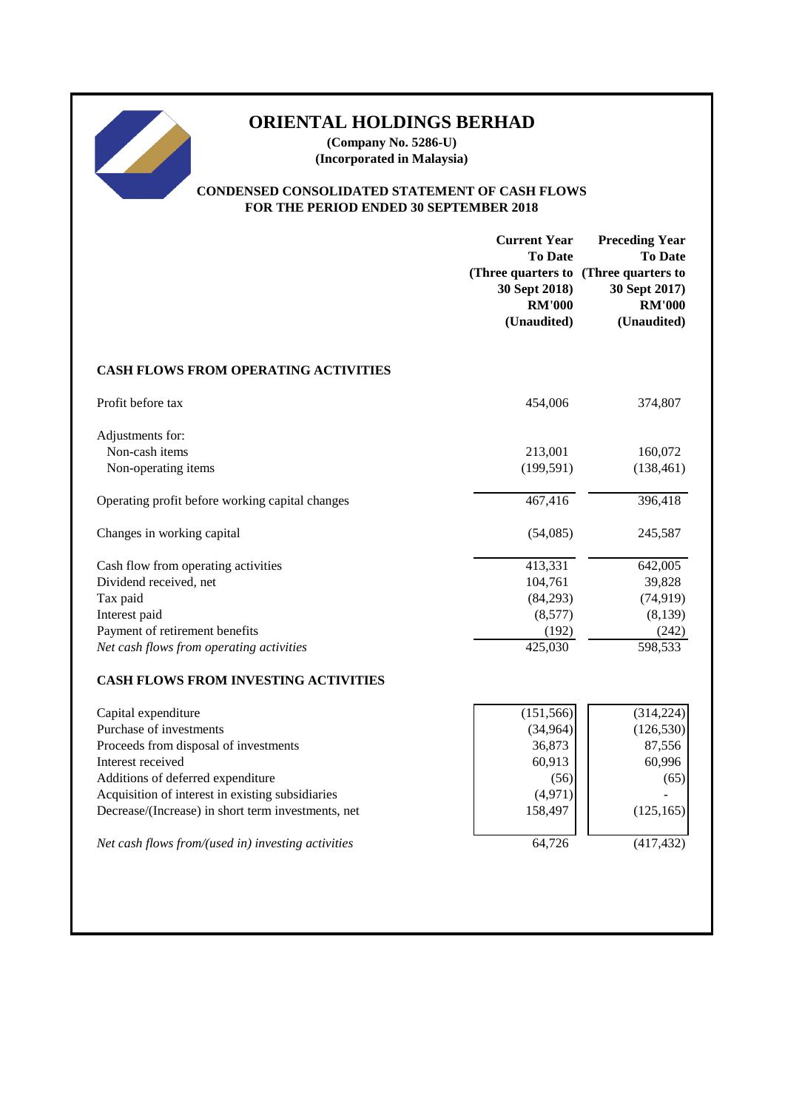# 

# **ORIENTAL HOLDINGS BERHAD**

**(Company No. 5286-U) (Incorporated in Malaysia)**

# **CONDENSED CONSOLIDATED STATEMENT OF CASH FLOWS FOR THE PERIOD ENDED 30 SEPTEMBER 2018**

|                                                    | <b>Current Year</b><br><b>To Date</b><br>30 Sept 2018)<br><b>RM'000</b><br>(Unaudited) | <b>Preceding Year</b><br><b>To Date</b><br>(Three quarters to (Three quarters to<br>30 Sept 2017)<br><b>RM'000</b><br>(Unaudited) |
|----------------------------------------------------|----------------------------------------------------------------------------------------|-----------------------------------------------------------------------------------------------------------------------------------|
| <b>CASH FLOWS FROM OPERATING ACTIVITIES</b>        |                                                                                        |                                                                                                                                   |
| Profit before tax                                  | 454,006                                                                                | 374,807                                                                                                                           |
| Adjustments for:                                   |                                                                                        |                                                                                                                                   |
| Non-cash items                                     | 213,001                                                                                | 160,072                                                                                                                           |
| Non-operating items                                | (199, 591)                                                                             | (138, 461)                                                                                                                        |
| Operating profit before working capital changes    | 467,416                                                                                | 396,418                                                                                                                           |
| Changes in working capital                         | (54,085)                                                                               | 245,587                                                                                                                           |
| Cash flow from operating activities                | 413,331                                                                                | 642,005                                                                                                                           |
| Dividend received, net                             | 104,761                                                                                | 39,828                                                                                                                            |
| Tax paid                                           | (84,293)                                                                               | (74, 919)                                                                                                                         |
| Interest paid                                      | (8,577)                                                                                | (8,139)                                                                                                                           |
| Payment of retirement benefits                     | (192)                                                                                  | (242)                                                                                                                             |
| Net cash flows from operating activities           | 425,030                                                                                | 598,533                                                                                                                           |
| <b>CASH FLOWS FROM INVESTING ACTIVITIES</b>        |                                                                                        |                                                                                                                                   |
| Capital expenditure                                | (151, 566)                                                                             | (314, 224)                                                                                                                        |
| Purchase of investments                            | (34, 964)                                                                              | (126, 530)                                                                                                                        |
| Proceeds from disposal of investments              | 36,873                                                                                 | 87,556                                                                                                                            |
| Interest received                                  | 60,913                                                                                 | 60,996                                                                                                                            |
| Additions of deferred expenditure                  | (56)                                                                                   | (65)                                                                                                                              |
| Acquisition of interest in existing subsidiaries   | (4,971)                                                                                |                                                                                                                                   |
| Decrease/(Increase) in short term investments, net | 158,497                                                                                | (125, 165)                                                                                                                        |
| Net cash flows from/(used in) investing activities | 64,726                                                                                 | (417, 432)                                                                                                                        |
|                                                    |                                                                                        |                                                                                                                                   |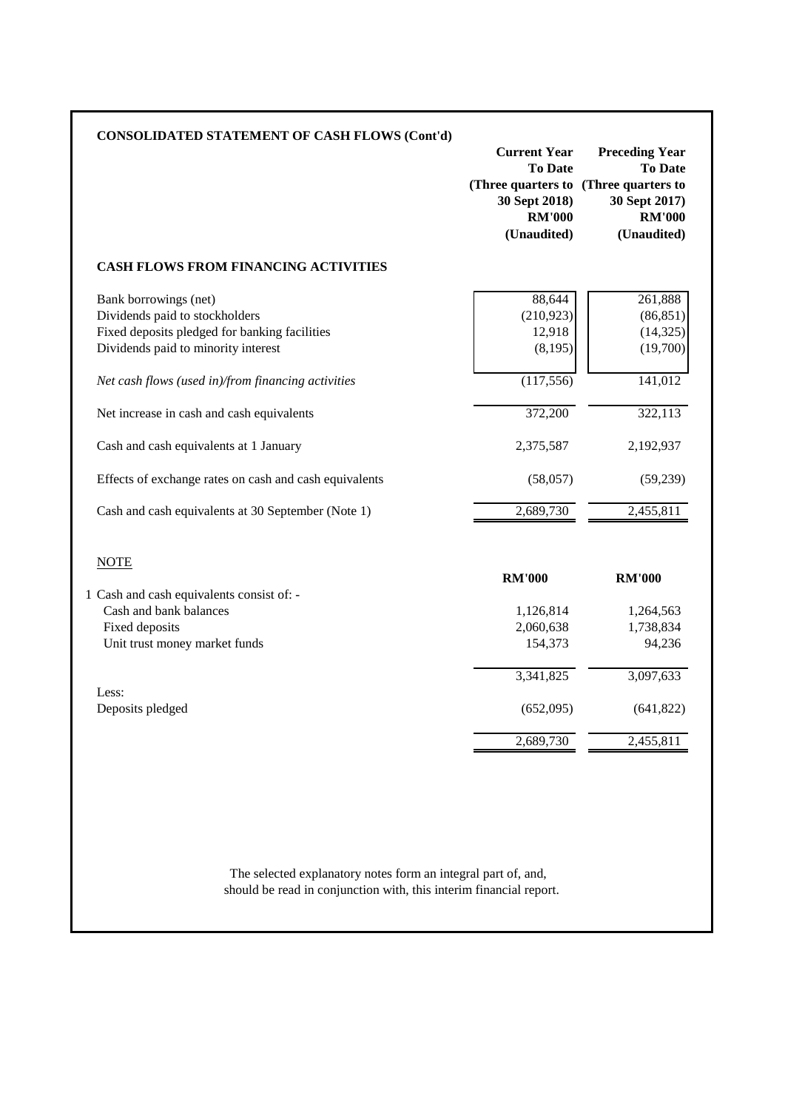| <b>CONSOLIDATED STATEMENT OF CASH FLOWS (Cont'd)</b>   | <b>Current Year</b><br><b>To Date</b><br>(Three quarters to (Three quarters to<br>30 Sept 2018)<br><b>RM'000</b><br>(Unaudited) | <b>Preceding Year</b><br><b>To Date</b><br>30 Sept 2017)<br><b>RM'000</b><br>(Unaudited) |
|--------------------------------------------------------|---------------------------------------------------------------------------------------------------------------------------------|------------------------------------------------------------------------------------------|
| <b>CASH FLOWS FROM FINANCING ACTIVITIES</b>            |                                                                                                                                 |                                                                                          |
| Bank borrowings (net)                                  | 88,644                                                                                                                          | 261,888                                                                                  |
| Dividends paid to stockholders                         | (210, 923)                                                                                                                      | (86, 851)                                                                                |
| Fixed deposits pledged for banking facilities          | 12,918                                                                                                                          | (14, 325)                                                                                |
| Dividends paid to minority interest                    | (8,195)                                                                                                                         | (19,700)                                                                                 |
| Net cash flows (used in)/from financing activities     | (117, 556)                                                                                                                      | 141,012                                                                                  |
| Net increase in cash and cash equivalents              | 372,200                                                                                                                         | 322,113                                                                                  |
| Cash and cash equivalents at 1 January                 | 2,375,587                                                                                                                       | 2,192,937                                                                                |
| Effects of exchange rates on cash and cash equivalents | (58,057)                                                                                                                        | (59, 239)                                                                                |
| Cash and cash equivalents at 30 September (Note 1)     | 2,689,730                                                                                                                       | 2,455,811                                                                                |
| <b>NOTE</b>                                            | <b>RM'000</b>                                                                                                                   | <b>RM'000</b>                                                                            |
| 1 Cash and cash equivalents consist of: -              | 1,126,814                                                                                                                       | 1,264,563                                                                                |
| Cash and bank balances                                 | 2,060,638                                                                                                                       | 1,738,834                                                                                |
| Fixed deposits                                         | 154,373                                                                                                                         | 94,236                                                                                   |
| Unit trust money market funds                          | 3,341,825                                                                                                                       | 3,097,633                                                                                |
| Less:                                                  | (652,095)                                                                                                                       | (641, 822)                                                                               |
| Deposits pledged                                       | 2,689,730                                                                                                                       | 2,455,811                                                                                |

should be read in conjunction with, this interim financial report. The selected explanatory notes form an integral part of, and,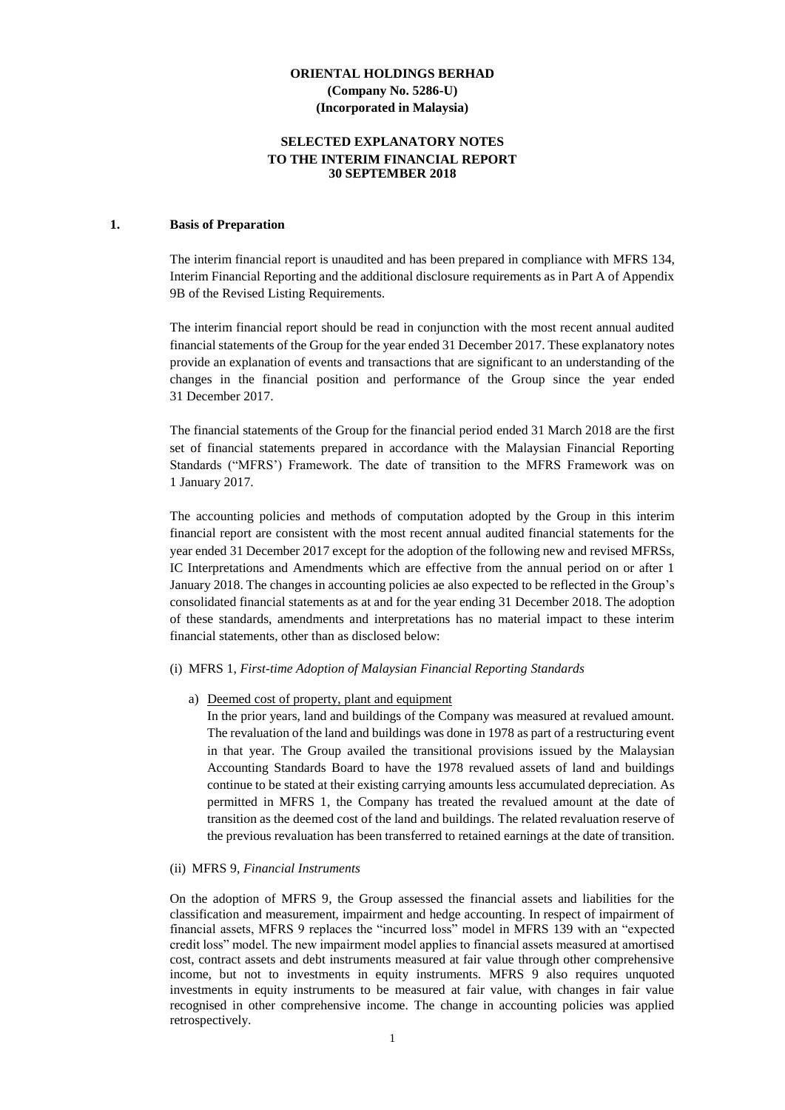#### **SELECTED EXPLANATORY NOTES TO THE INTERIM FINANCIAL REPORT 30 SEPTEMBER 2018**

#### **1. Basis of Preparation**

The interim financial report is unaudited and has been prepared in compliance with MFRS 134, Interim Financial Reporting and the additional disclosure requirements as in Part A of Appendix 9B of the Revised Listing Requirements.

The interim financial report should be read in conjunction with the most recent annual audited financial statements of the Group for the year ended 31 December 2017. These explanatory notes provide an explanation of events and transactions that are significant to an understanding of the changes in the financial position and performance of the Group since the year ended 31 December 2017.

The financial statements of the Group for the financial period ended 31 March 2018 are the first set of financial statements prepared in accordance with the Malaysian Financial Reporting Standards ("MFRS') Framework. The date of transition to the MFRS Framework was on 1 January 2017.

The accounting policies and methods of computation adopted by the Group in this interim financial report are consistent with the most recent annual audited financial statements for the year ended 31 December 2017 except for the adoption of the following new and revised MFRSs, IC Interpretations and Amendments which are effective from the annual period on or after 1 January 2018. The changes in accounting policies ae also expected to be reflected in the Group's consolidated financial statements as at and for the year ending 31 December 2018. The adoption of these standards, amendments and interpretations has no material impact to these interim financial statements, other than as disclosed below:

#### (i) MFRS 1, *First-time Adoption of Malaysian Financial Reporting Standards*

#### a) Deemed cost of property, plant and equipment

In the prior years, land and buildings of the Company was measured at revalued amount. The revaluation of the land and buildings was done in 1978 as part of a restructuring event in that year. The Group availed the transitional provisions issued by the Malaysian Accounting Standards Board to have the 1978 revalued assets of land and buildings continue to be stated at their existing carrying amounts less accumulated depreciation. As permitted in MFRS 1, the Company has treated the revalued amount at the date of transition as the deemed cost of the land and buildings. The related revaluation reserve of the previous revaluation has been transferred to retained earnings at the date of transition.

#### (ii) MFRS 9, *Financial Instruments*

On the adoption of MFRS 9, the Group assessed the financial assets and liabilities for the classification and measurement, impairment and hedge accounting. In respect of impairment of financial assets, MFRS 9 replaces the "incurred loss" model in MFRS 139 with an "expected credit loss" model. The new impairment model applies to financial assets measured at amortised cost, contract assets and debt instruments measured at fair value through other comprehensive income, but not to investments in equity instruments. MFRS 9 also requires unquoted investments in equity instruments to be measured at fair value, with changes in fair value recognised in other comprehensive income. The change in accounting policies was applied retrospectively.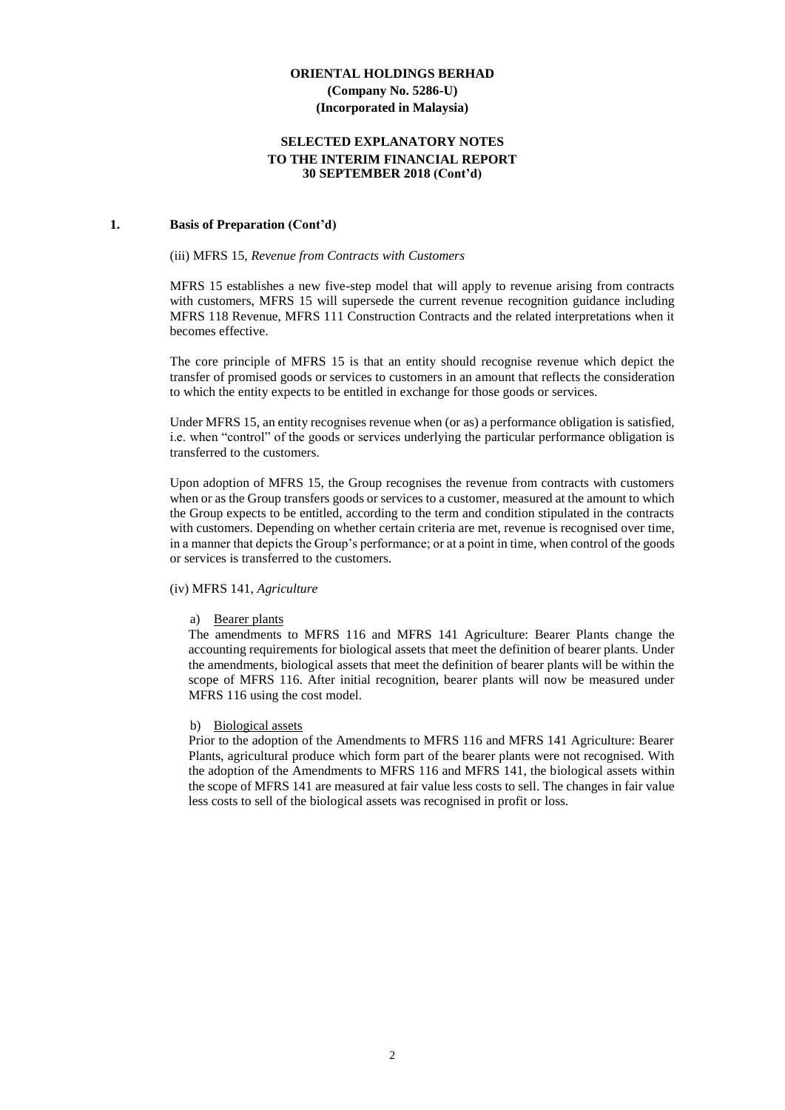#### **SELECTED EXPLANATORY NOTES TO THE INTERIM FINANCIAL REPORT 30 SEPTEMBER 2018 (Cont'd)**

#### **1. Basis of Preparation (Cont'd)**

#### (iii) MFRS 15, *Revenue from Contracts with Customers*

MFRS 15 establishes a new five-step model that will apply to revenue arising from contracts with customers, MFRS 15 will supersede the current revenue recognition guidance including MFRS 118 Revenue, MFRS 111 Construction Contracts and the related interpretations when it becomes effective.

The core principle of MFRS 15 is that an entity should recognise revenue which depict the transfer of promised goods or services to customers in an amount that reflects the consideration to which the entity expects to be entitled in exchange for those goods or services.

Under MFRS 15, an entity recognises revenue when (or as) a performance obligation is satisfied, i.e. when "control" of the goods or services underlying the particular performance obligation is transferred to the customers.

Upon adoption of MFRS 15, the Group recognises the revenue from contracts with customers when or as the Group transfers goods or services to a customer, measured at the amount to which the Group expects to be entitled, according to the term and condition stipulated in the contracts with customers. Depending on whether certain criteria are met, revenue is recognised over time, in a manner that depicts the Group's performance; or at a point in time, when control of the goods or services is transferred to the customers.

#### (iv) MFRS 141*, Agriculture*

#### a) Bearer plants

The amendments to MFRS 116 and MFRS 141 Agriculture: Bearer Plants change the accounting requirements for biological assets that meet the definition of bearer plants. Under the amendments, biological assets that meet the definition of bearer plants will be within the scope of MFRS 116. After initial recognition, bearer plants will now be measured under MFRS 116 using the cost model.

#### b) Biological assets

Prior to the adoption of the Amendments to MFRS 116 and MFRS 141 Agriculture: Bearer Plants, agricultural produce which form part of the bearer plants were not recognised. With the adoption of the Amendments to MFRS 116 and MFRS 141, the biological assets within the scope of MFRS 141 are measured at fair value less costs to sell. The changes in fair value less costs to sell of the biological assets was recognised in profit or loss.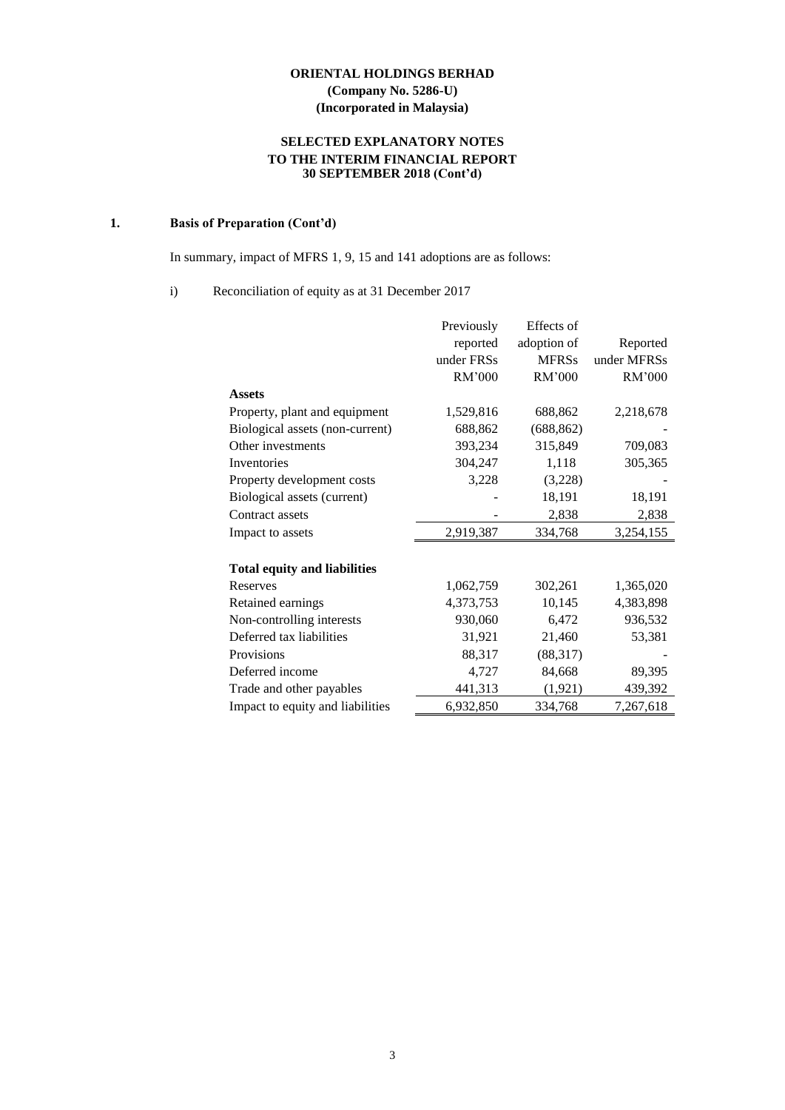# **SELECTED EXPLANATORY NOTES TO THE INTERIM FINANCIAL REPORT 30 SEPTEMBER 2018 (Cont'd)**

# **1. Basis of Preparation (Cont'd)**

In summary, impact of MFRS 1, 9, 15 and 141 adoptions are as follows:

#### i) Reconciliation of equity as at 31 December 2017

|                                     | Previously | Effects of   |             |
|-------------------------------------|------------|--------------|-------------|
|                                     | reported   | adoption of  | Reported    |
|                                     | under FRSs | <b>MFRSs</b> | under MFRSs |
|                                     | RM'000     | RM'000       | RM'000      |
| <b>Assets</b>                       |            |              |             |
| Property, plant and equipment       | 1,529,816  | 688,862      | 2,218,678   |
| Biological assets (non-current)     | 688,862    | (688, 862)   |             |
| Other investments                   | 393,234    | 315,849      | 709,083     |
| Inventories                         | 304,247    | 1,118        | 305,365     |
| Property development costs          | 3,228      | (3,228)      |             |
| Biological assets (current)         |            | 18,191       | 18,191      |
| Contract assets                     |            | 2,838        | 2,838       |
| Impact to assets                    | 2,919,387  | 334,768      | 3,254,155   |
|                                     |            |              |             |
| <b>Total equity and liabilities</b> |            |              |             |
| Reserves                            | 1,062,759  | 302,261      | 1,365,020   |
| Retained earnings                   | 4,373,753  | 10,145       | 4,383,898   |
| Non-controlling interests           | 930,060    | 6,472        | 936,532     |
| Deferred tax liabilities            | 31,921     | 21,460       | 53,381      |
| Provisions                          | 88,317     | (88, 317)    |             |
| Deferred income                     | 4,727      | 84,668       | 89,395      |
| Trade and other payables            | 441,313    | (1, 921)     | 439,392     |
| Impact to equity and liabilities    | 6,932,850  | 334,768      | 7,267,618   |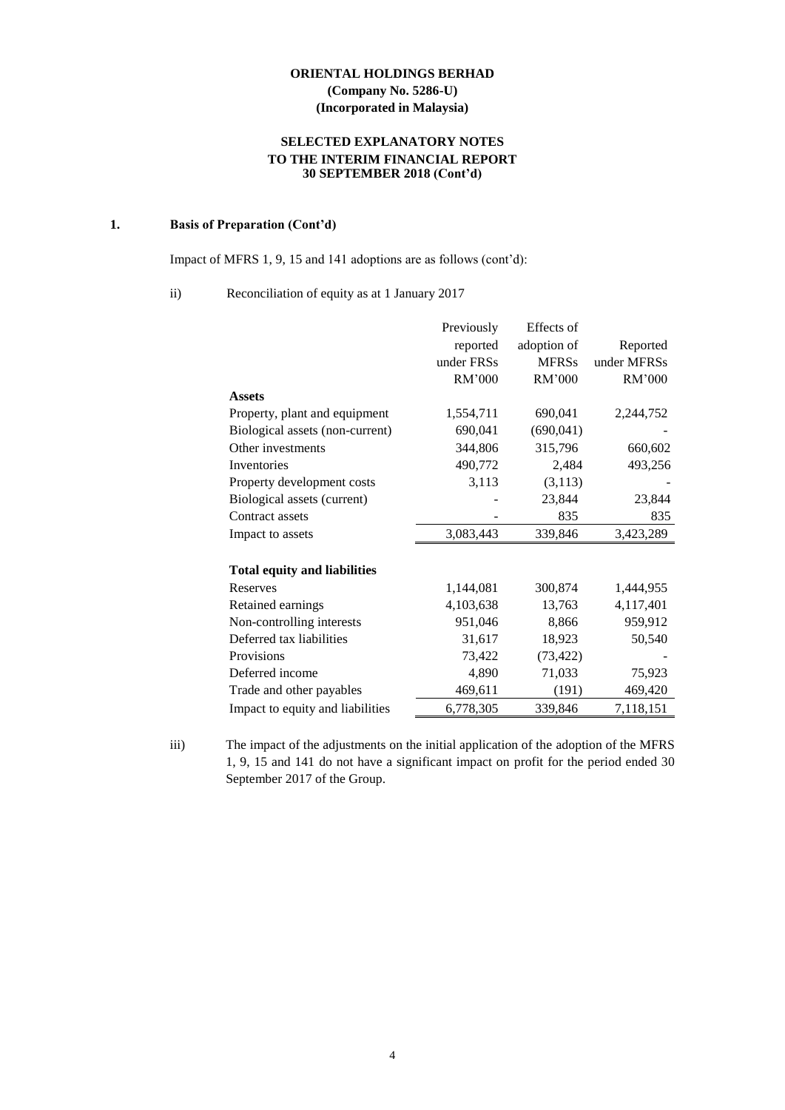# **SELECTED EXPLANATORY NOTES TO THE INTERIM FINANCIAL REPORT 30 SEPTEMBER 2018 (Cont'd)**

# **1. Basis of Preparation (Cont'd)**

Impact of MFRS 1, 9, 15 and 141 adoptions are as follows (cont'd):

# ii) Reconciliation of equity as at 1 January 2017

|                                     | Previously | Effects of   |             |
|-------------------------------------|------------|--------------|-------------|
|                                     | reported   | adoption of  | Reported    |
|                                     | under FRSs | <b>MFRSs</b> | under MFRSs |
|                                     | RM'000     | RM'000       | RM'000      |
| <b>Assets</b>                       |            |              |             |
| Property, plant and equipment       | 1,554,711  | 690,041      | 2,244,752   |
| Biological assets (non-current)     | 690,041    | (690, 041)   |             |
| Other investments                   | 344,806    | 315,796      | 660,602     |
| Inventories                         | 490,772    | 2,484        | 493,256     |
| Property development costs          | 3,113      | (3, 113)     |             |
| Biological assets (current)         |            | 23,844       | 23,844      |
| Contract assets                     |            | 835          | 835         |
| Impact to assets                    | 3,083,443  | 339,846      | 3,423,289   |
| <b>Total equity and liabilities</b> |            |              |             |
| Reserves                            | 1,144,081  | 300,874      | 1,444,955   |
| Retained earnings                   | 4,103,638  | 13,763       | 4,117,401   |
| Non-controlling interests           | 951,046    | 8,866        | 959,912     |
| Deferred tax liabilities            | 31,617     | 18,923       | 50,540      |
| Provisions                          | 73,422     | (73, 422)    |             |
| Deferred income                     | 4,890      | 71,033       | 75,923      |
| Trade and other payables            | 469,611    | (191)        | 469,420     |
| Impact to equity and liabilities    | 6,778,305  | 339,846      | 7,118,151   |

iii) The impact of the adjustments on the initial application of the adoption of the MFRS 1, 9, 15 and 141 do not have a significant impact on profit for the period ended 30 September 2017 of the Group.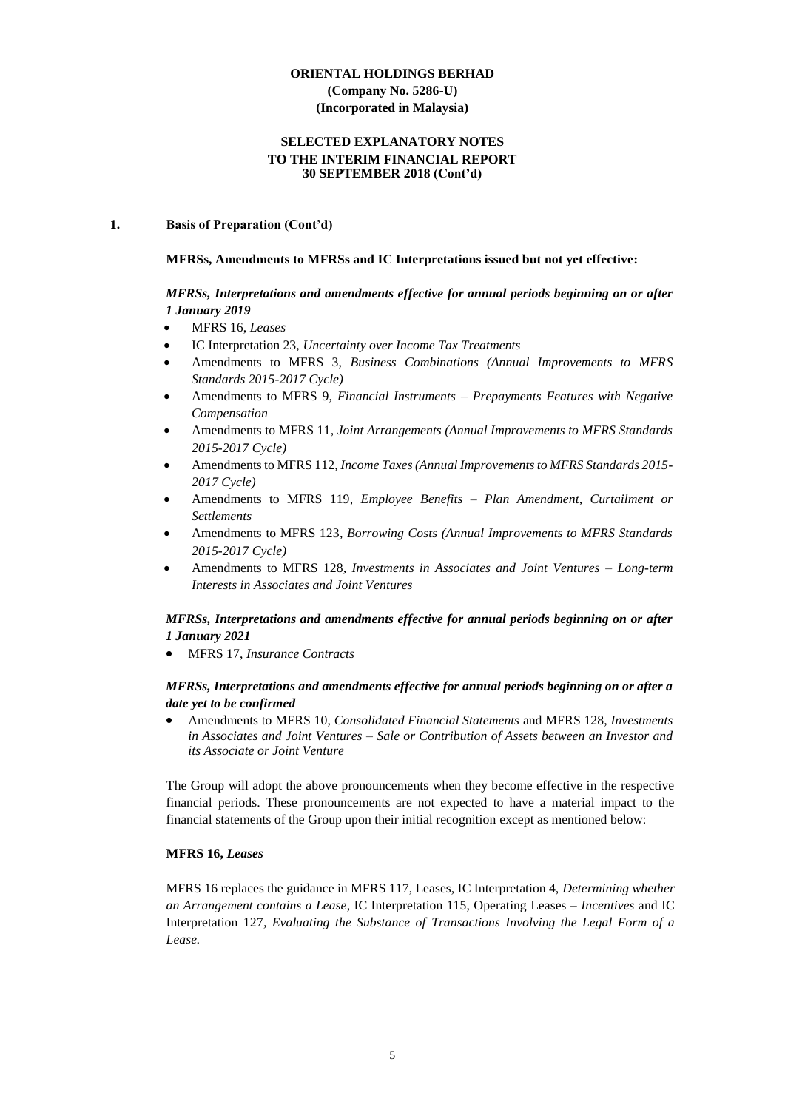#### **SELECTED EXPLANATORY NOTES TO THE INTERIM FINANCIAL REPORT 30 SEPTEMBER 2018 (Cont'd)**

#### **1. Basis of Preparation (Cont'd)**

#### **MFRSs, Amendments to MFRSs and IC Interpretations issued but not yet effective:**

# *MFRSs, Interpretations and amendments effective for annual periods beginning on or after 1 January 2019*

- MFRS 16, *Leases*
- IC Interpretation 23, *Uncertainty over Income Tax Treatments*
- Amendments to MFRS 3, *Business Combinations (Annual Improvements to MFRS Standards 2015-2017 Cycle)*
- Amendments to MFRS 9, *Financial Instruments – Prepayments Features with Negative Compensation*
- Amendments to MFRS 11*, Joint Arrangements (Annual Improvements to MFRS Standards 2015-2017 Cycle)*
- Amendments to MFRS 112*, Income Taxes (Annual Improvements to MFRS Standards 2015- 2017 Cycle)*
- Amendments to MFRS 119*, Employee Benefits – Plan Amendment, Curtailment or Settlements*
- Amendments to MFRS 123*, Borrowing Costs (Annual Improvements to MFRS Standards 2015-2017 Cycle)*
- Amendments to MFRS 128*, Investments in Associates and Joint Ventures – Long-term Interests in Associates and Joint Ventures*

# *MFRSs, Interpretations and amendments effective for annual periods beginning on or after 1 January 2021*

• MFRS 17, *Insurance Contracts*

#### *MFRSs, Interpretations and amendments effective for annual periods beginning on or after a date yet to be confirmed*

• Amendments to MFRS 10, *Consolidated Financial Statements* and MFRS 128, *Investments in Associates and Joint Ventures – Sale or Contribution of Assets between an Investor and its Associate or Joint Venture*

The Group will adopt the above pronouncements when they become effective in the respective financial periods. These pronouncements are not expected to have a material impact to the financial statements of the Group upon their initial recognition except as mentioned below:

#### **MFRS 16,** *Leases*

MFRS 16 replaces the guidance in MFRS 117, Leases, IC Interpretation 4, *Determining whether an Arrangement contains a Lease*, IC Interpretation 115, Operating Leases *– Incentives* and IC Interpretation 127*, Evaluating the Substance of Transactions Involving the Legal Form of a Lease.*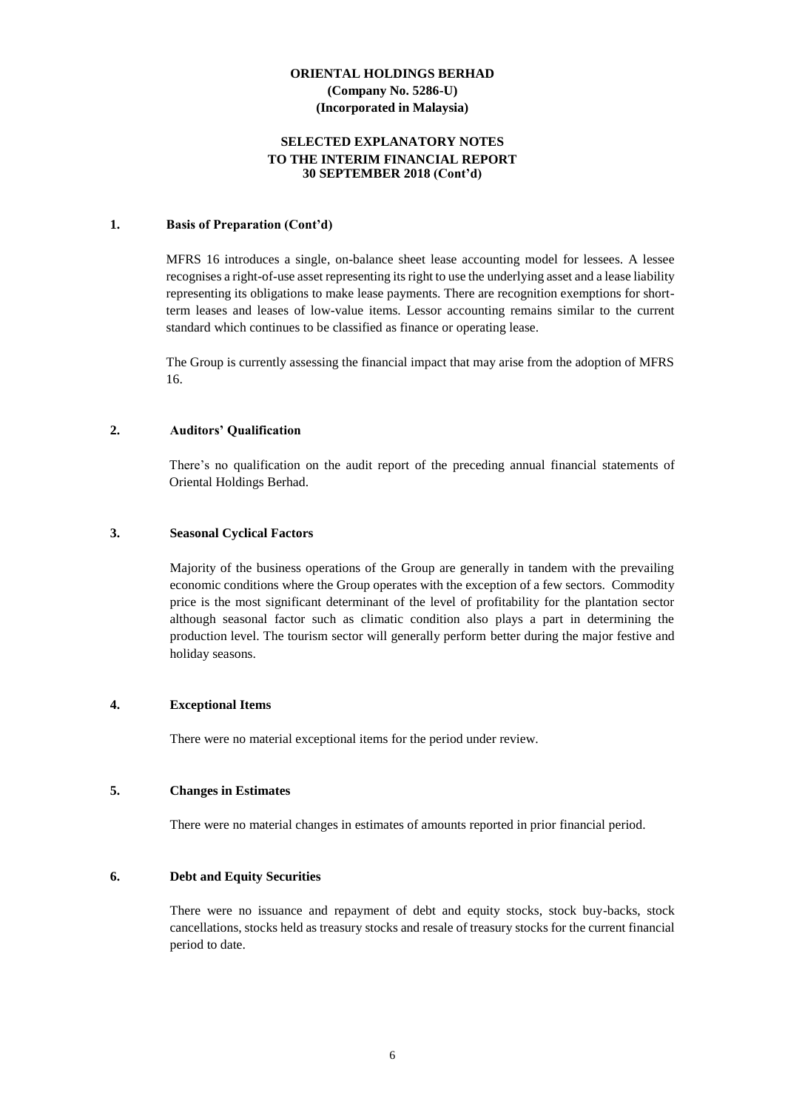#### **SELECTED EXPLANATORY NOTES TO THE INTERIM FINANCIAL REPORT 30 SEPTEMBER 2018 (Cont'd)**

#### **1. Basis of Preparation (Cont'd)**

MFRS 16 introduces a single, on-balance sheet lease accounting model for lessees. A lessee recognises a right-of-use asset representing its right to use the underlying asset and a lease liability representing its obligations to make lease payments. There are recognition exemptions for shortterm leases and leases of low-value items. Lessor accounting remains similar to the current standard which continues to be classified as finance or operating lease.

The Group is currently assessing the financial impact that may arise from the adoption of MFRS 16.

#### **2. Auditors' Qualification**

There's no qualification on the audit report of the preceding annual financial statements of Oriental Holdings Berhad.

#### **3. Seasonal Cyclical Factors**

Majority of the business operations of the Group are generally in tandem with the prevailing economic conditions where the Group operates with the exception of a few sectors. Commodity price is the most significant determinant of the level of profitability for the plantation sector although seasonal factor such as climatic condition also plays a part in determining the production level. The tourism sector will generally perform better during the major festive and holiday seasons.

#### **4. Exceptional Items**

There were no material exceptional items for the period under review.

#### **5. Changes in Estimates**

There were no material changes in estimates of amounts reported in prior financial period.

#### **6. Debt and Equity Securities**

There were no issuance and repayment of debt and equity stocks, stock buy-backs, stock cancellations, stocks held as treasury stocks and resale of treasury stocks for the current financial period to date.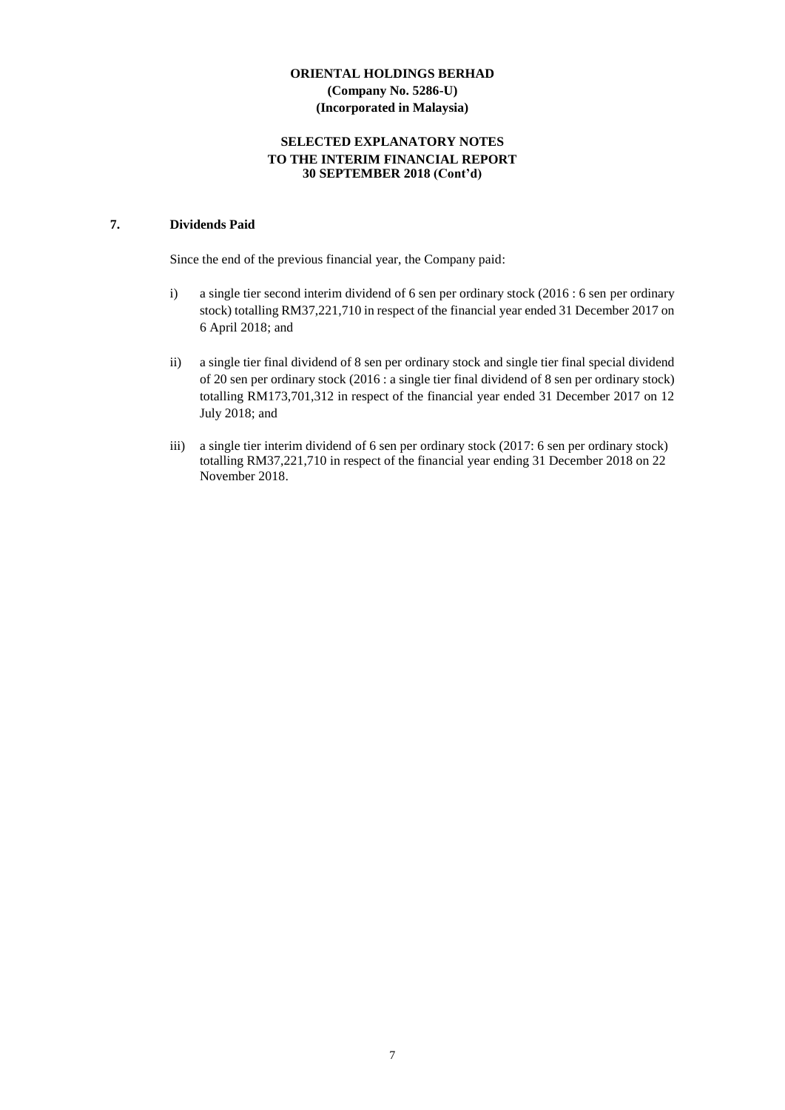#### **SELECTED EXPLANATORY NOTES TO THE INTERIM FINANCIAL REPORT 30 SEPTEMBER 2018 (Cont'd)**

# **7. Dividends Paid**

Since the end of the previous financial year, the Company paid:

- i) a single tier second interim dividend of 6 sen per ordinary stock (2016 : 6 sen per ordinary stock) totalling RM37,221,710 in respect of the financial year ended 31 December 2017 on 6 April 2018; and
- ii) a single tier final dividend of 8 sen per ordinary stock and single tier final special dividend of 20 sen per ordinary stock (2016 : a single tier final dividend of 8 sen per ordinary stock) totalling RM173,701,312 in respect of the financial year ended 31 December 2017 on 12 July 2018; and
- iii) a single tier interim dividend of 6 sen per ordinary stock (2017: 6 sen per ordinary stock) totalling RM37,221,710 in respect of the financial year ending 31 December 2018 on 22 November 2018.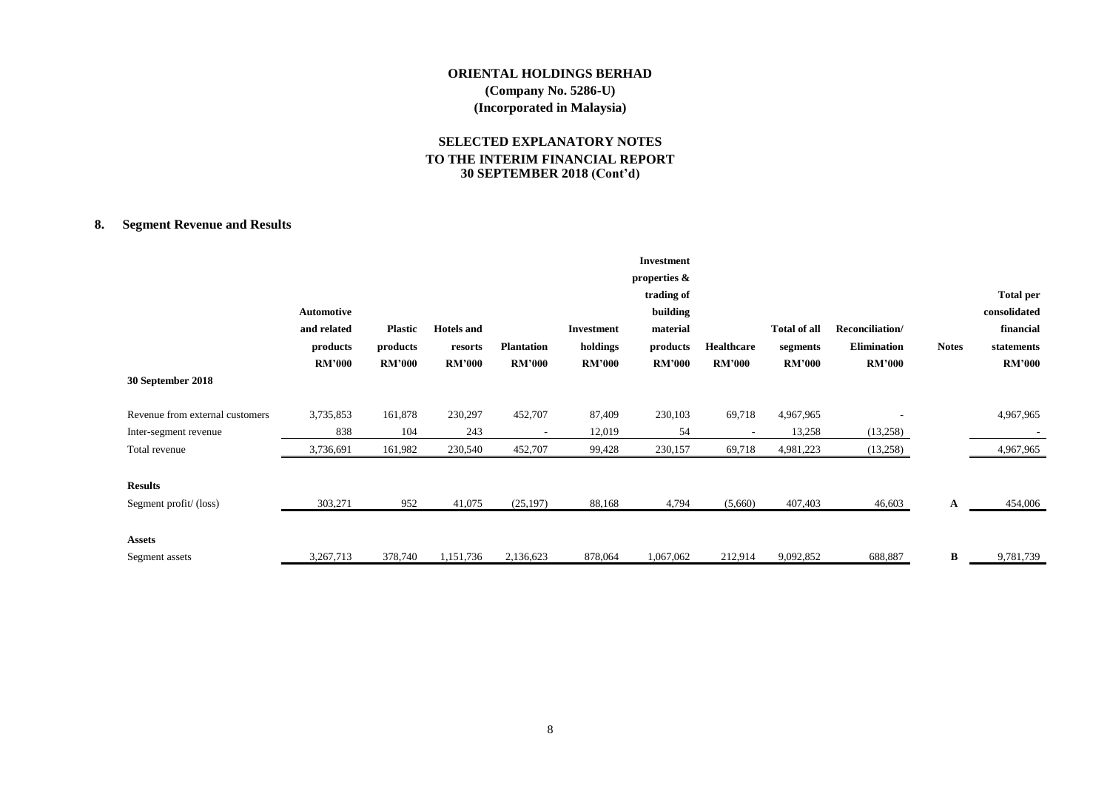# **SELECTED EXPLANATORY NOTES TO THE INTERIM FINANCIAL REPORT 30 SEPTEMBER 2018 (Cont'd)**

# **8. Segment Revenue and Results**

|                                 |               |                |                   |                   |               | <b>Investment</b> |                   |                     |                    |              |                  |
|---------------------------------|---------------|----------------|-------------------|-------------------|---------------|-------------------|-------------------|---------------------|--------------------|--------------|------------------|
|                                 |               |                |                   |                   |               | properties &      |                   |                     |                    |              |                  |
|                                 |               |                |                   |                   |               | trading of        |                   |                     |                    |              | <b>Total per</b> |
|                                 | Automotive    |                |                   |                   |               | building          |                   |                     |                    |              | consolidated     |
|                                 | and related   | <b>Plastic</b> | <b>Hotels</b> and |                   | Investment    | material          |                   | <b>Total of all</b> | Reconciliation/    |              | financial        |
|                                 | products      | products       | resorts           | <b>Plantation</b> | holdings      | products          | <b>Healthcare</b> | segments            | <b>Elimination</b> | <b>Notes</b> | statements       |
|                                 | <b>RM'000</b> | <b>RM'000</b>  | <b>RM'000</b>     | <b>RM'000</b>     | <b>RM'000</b> | <b>RM'000</b>     | <b>RM'000</b>     | <b>RM'000</b>       | <b>RM'000</b>      |              | <b>RM'000</b>    |
| 30 September 2018               |               |                |                   |                   |               |                   |                   |                     |                    |              |                  |
| Revenue from external customers | 3,735,853     | 161,878        | 230,297           | 452,707           | 87,409        | 230,103           | 69,718            | 4,967,965           |                    |              | 4,967,965        |
| Inter-segment revenue           | 838           | 104            | 243               |                   | 12,019        | 54                |                   | 13,258              | (13,258)           |              |                  |
| Total revenue                   | 3,736,691     | 161,982        | 230,540           | 452,707           | 99,428        | 230,157           | 69,718            | 4,981,223           | (13,258)           |              | 4,967,965        |
| <b>Results</b>                  |               |                |                   |                   |               |                   |                   |                     |                    |              |                  |
| Segment profit/(loss)           | 303,271       | 952            | 41,075            | (25, 197)         | 88,168        | 4,794             | (5,660)           | 407,403             | 46,603             | A            | 454,006          |
| <b>Assets</b>                   |               |                |                   |                   |               |                   |                   |                     |                    |              |                  |
| Segment assets                  | 3,267,713     | 378,740        | 1,151,736         | 2,136,623         | 878,064       | 1,067,062         | 212,914           | 9,092,852           | 688,887            | B            | 9,781,739        |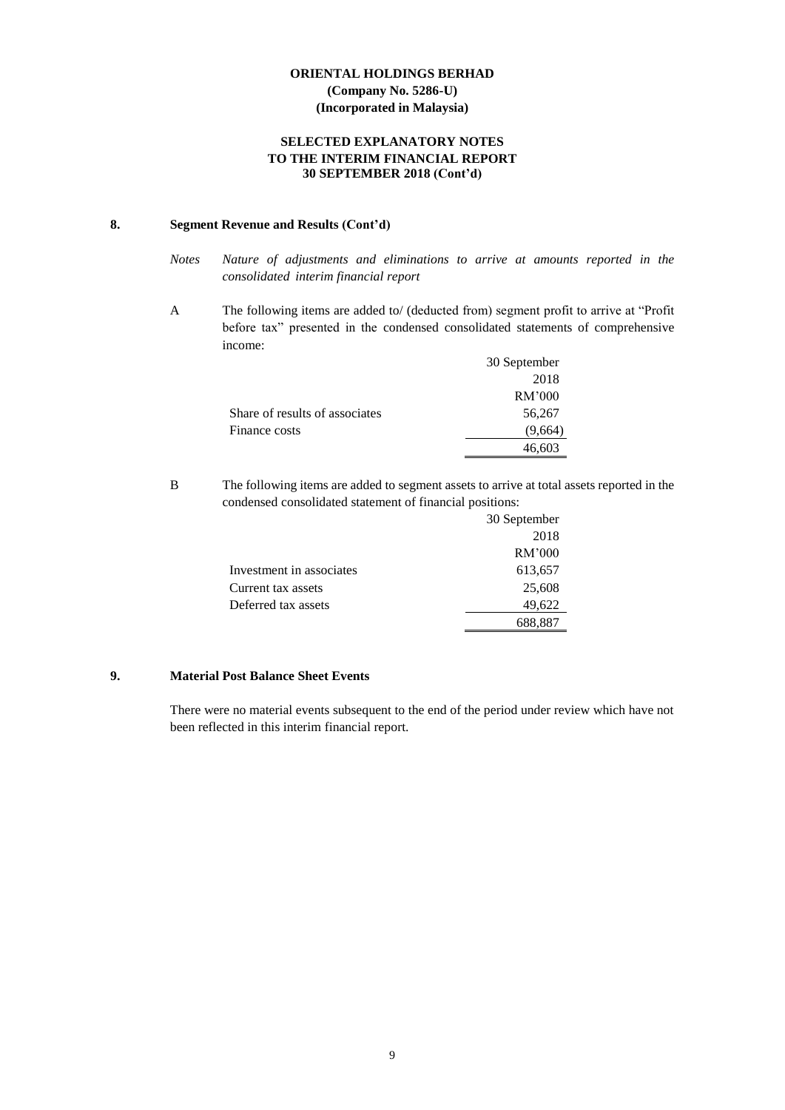### **SELECTED EXPLANATORY NOTES TO THE INTERIM FINANCIAL REPORT 30 SEPTEMBER 2018 (Cont'd)**

# **8. Segment Revenue and Results (Cont'd)**

- *Notes Nature of adjustments and eliminations to arrive at amounts reported in the consolidated interim financial report*
- A The following items are added to/ (deducted from) segment profit to arrive at "Profit before tax" presented in the condensed consolidated statements of comprehensive income:

|                                | 30 September |
|--------------------------------|--------------|
|                                | 2018         |
|                                | RM'000       |
| Share of results of associates | 56,267       |
| Finance costs                  | (9,664)      |
|                                | 46,603       |

B The following items are added to segment assets to arrive at total assets reported in the condensed consolidated statement of financial positions:

|                          | 30 September |
|--------------------------|--------------|
|                          | 2018         |
|                          | RM'000       |
| Investment in associates | 613,657      |
| Current tax assets       | 25,608       |
| Deferred tax assets      | 49,622       |
|                          | 688.887      |

# **9. Material Post Balance Sheet Events**

There were no material events subsequent to the end of the period under review which have not been reflected in this interim financial report.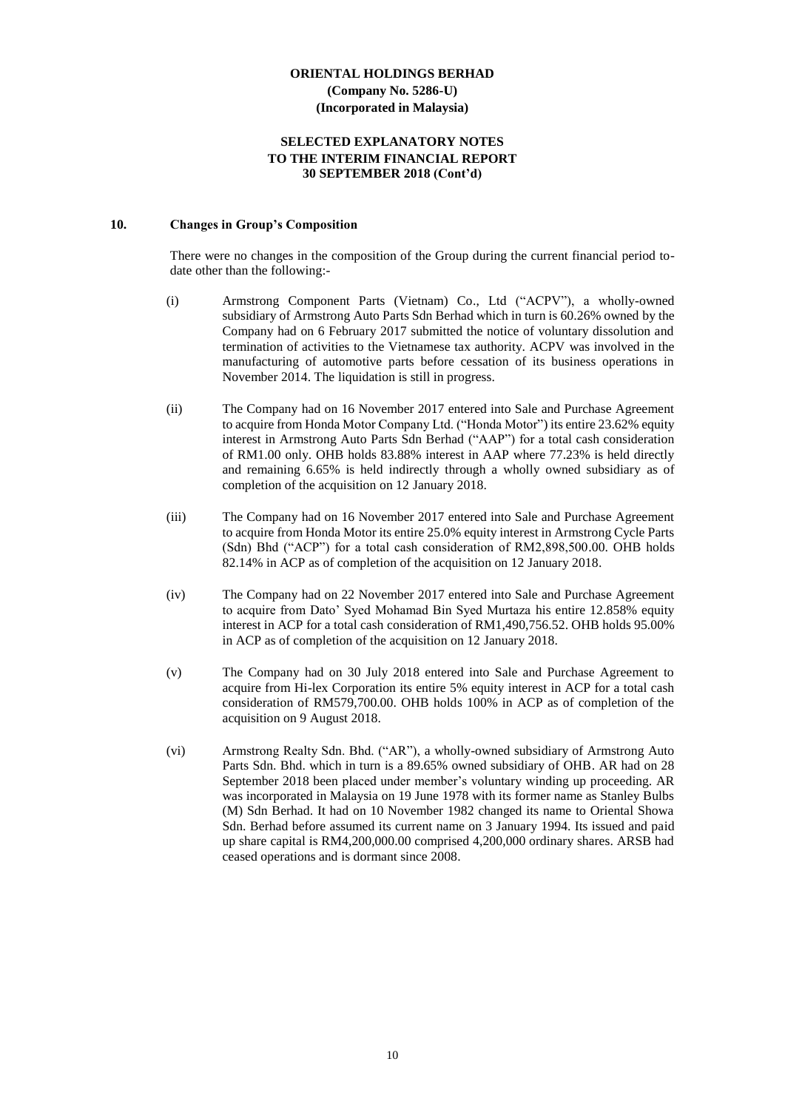#### **SELECTED EXPLANATORY NOTES TO THE INTERIM FINANCIAL REPORT 30 SEPTEMBER 2018 (Cont'd)**

#### **10. Changes in Group's Composition**

There were no changes in the composition of the Group during the current financial period todate other than the following:-

- (i) Armstrong Component Parts (Vietnam) Co., Ltd ("ACPV"), a wholly-owned subsidiary of Armstrong Auto Parts Sdn Berhad which in turn is 60.26% owned by the Company had on 6 February 2017 submitted the notice of voluntary dissolution and termination of activities to the Vietnamese tax authority. ACPV was involved in the manufacturing of automotive parts before cessation of its business operations in November 2014. The liquidation is still in progress.
- (ii) The Company had on 16 November 2017 entered into Sale and Purchase Agreement to acquire from Honda Motor Company Ltd. ("Honda Motor") its entire 23.62% equity interest in Armstrong Auto Parts Sdn Berhad ("AAP") for a total cash consideration of RM1.00 only. OHB holds 83.88% interest in AAP where 77.23% is held directly and remaining 6.65% is held indirectly through a wholly owned subsidiary as of completion of the acquisition on 12 January 2018.
- (iii) The Company had on 16 November 2017 entered into Sale and Purchase Agreement to acquire from Honda Motor its entire 25.0% equity interest in Armstrong Cycle Parts (Sdn) Bhd ("ACP") for a total cash consideration of RM2,898,500.00. OHB holds 82.14% in ACP as of completion of the acquisition on 12 January 2018.
- (iv) The Company had on 22 November 2017 entered into Sale and Purchase Agreement to acquire from Dato' Syed Mohamad Bin Syed Murtaza his entire 12.858% equity interest in ACP for a total cash consideration of RM1,490,756.52. OHB holds 95.00% in ACP as of completion of the acquisition on 12 January 2018.
- (v) The Company had on 30 July 2018 entered into Sale and Purchase Agreement to acquire from Hi-lex Corporation its entire 5% equity interest in ACP for a total cash consideration of RM579,700.00. OHB holds 100% in ACP as of completion of the acquisition on 9 August 2018.
- (vi) Armstrong Realty Sdn. Bhd. ("AR"), a wholly-owned subsidiary of Armstrong Auto Parts Sdn. Bhd. which in turn is a 89.65% owned subsidiary of OHB. AR had on 28 September 2018 been placed under member's voluntary winding up proceeding. AR was incorporated in Malaysia on 19 June 1978 with its former name as Stanley Bulbs (M) Sdn Berhad. It had on 10 November 1982 changed its name to Oriental Showa Sdn. Berhad before assumed its current name on 3 January 1994. Its issued and paid up share capital is RM4,200,000.00 comprised 4,200,000 ordinary shares. ARSB had ceased operations and is dormant since 2008.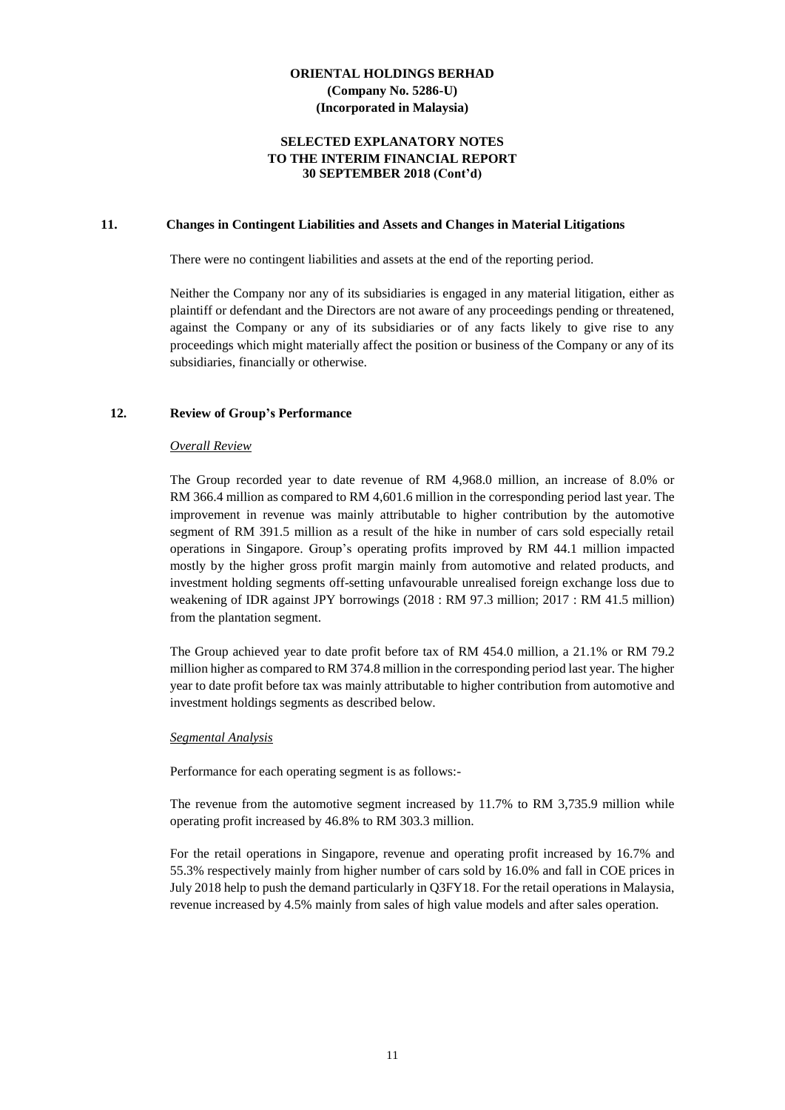#### **SELECTED EXPLANATORY NOTES TO THE INTERIM FINANCIAL REPORT 30 SEPTEMBER 2018 (Cont'd)**

#### **11. Changes in Contingent Liabilities and Assets and Changes in Material Litigations**

There were no contingent liabilities and assets at the end of the reporting period.

Neither the Company nor any of its subsidiaries is engaged in any material litigation, either as plaintiff or defendant and the Directors are not aware of any proceedings pending or threatened, against the Company or any of its subsidiaries or of any facts likely to give rise to any proceedings which might materially affect the position or business of the Company or any of its subsidiaries, financially or otherwise.

#### **12. Review of Group's Performance**

#### *Overall Review*

The Group recorded year to date revenue of RM 4,968.0 million, an increase of 8.0% or RM 366.4 million as compared to RM 4,601.6 million in the corresponding period last year. The improvement in revenue was mainly attributable to higher contribution by the automotive segment of RM 391.5 million as a result of the hike in number of cars sold especially retail operations in Singapore. Group's operating profits improved by RM 44.1 million impacted mostly by the higher gross profit margin mainly from automotive and related products, and investment holding segments off-setting unfavourable unrealised foreign exchange loss due to weakening of IDR against JPY borrowings (2018 : RM 97.3 million; 2017 : RM 41.5 million) from the plantation segment.

The Group achieved year to date profit before tax of RM 454.0 million, a 21.1% or RM 79.2 million higher as compared to RM 374.8 million in the corresponding period last year. The higher year to date profit before tax was mainly attributable to higher contribution from automotive and investment holdings segments as described below.

#### *Segmental Analysis*

Performance for each operating segment is as follows:-

The revenue from the automotive segment increased by 11.7% to RM 3,735.9 million while operating profit increased by 46.8% to RM 303.3 million.

For the retail operations in Singapore, revenue and operating profit increased by 16.7% and 55.3% respectively mainly from higher number of cars sold by 16.0% and fall in COE prices in July 2018 help to push the demand particularly in Q3FY18. For the retail operations in Malaysia, revenue increased by 4.5% mainly from sales of high value models and after sales operation.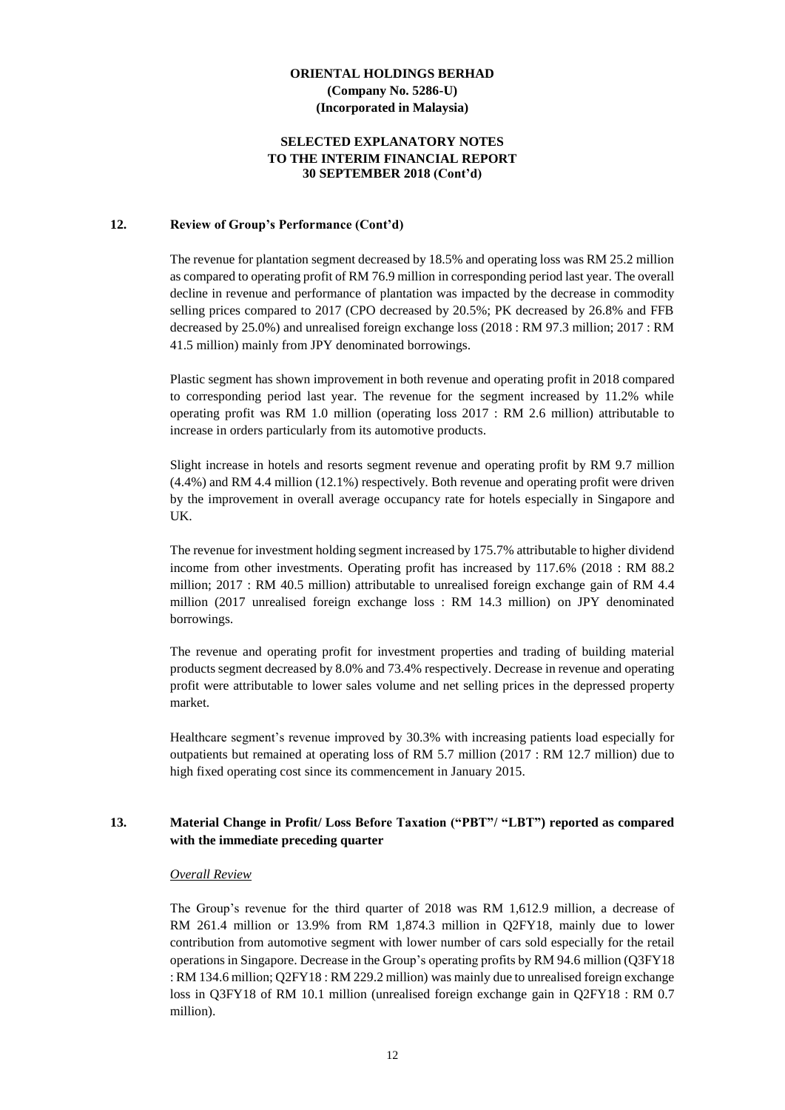#### **SELECTED EXPLANATORY NOTES TO THE INTERIM FINANCIAL REPORT 30 SEPTEMBER 2018 (Cont'd)**

#### **12. Review of Group's Performance (Cont'd)**

The revenue for plantation segment decreased by 18.5% and operating loss was RM 25.2 million as compared to operating profit of RM 76.9 million in corresponding period last year. The overall decline in revenue and performance of plantation was impacted by the decrease in commodity selling prices compared to 2017 (CPO decreased by 20.5%; PK decreased by 26.8% and FFB decreased by 25.0%) and unrealised foreign exchange loss (2018 : RM 97.3 million; 2017 : RM 41.5 million) mainly from JPY denominated borrowings.

Plastic segment has shown improvement in both revenue and operating profit in 2018 compared to corresponding period last year. The revenue for the segment increased by 11.2% while operating profit was RM 1.0 million (operating loss 2017 : RM 2.6 million) attributable to increase in orders particularly from its automotive products.

Slight increase in hotels and resorts segment revenue and operating profit by RM 9.7 million (4.4%) and RM 4.4 million (12.1%) respectively. Both revenue and operating profit were driven by the improvement in overall average occupancy rate for hotels especially in Singapore and UK.

The revenue for investment holding segment increased by 175.7% attributable to higher dividend income from other investments. Operating profit has increased by 117.6% (2018 : RM 88.2 million; 2017 : RM 40.5 million) attributable to unrealised foreign exchange gain of RM 4.4 million (2017 unrealised foreign exchange loss : RM 14.3 million) on JPY denominated borrowings.

The revenue and operating profit for investment properties and trading of building material products segment decreased by 8.0% and 73.4% respectively. Decrease in revenue and operating profit were attributable to lower sales volume and net selling prices in the depressed property market.

Healthcare segment's revenue improved by 30.3% with increasing patients load especially for outpatients but remained at operating loss of RM 5.7 million (2017 : RM 12.7 million) due to high fixed operating cost since its commencement in January 2015.

#### **13. Material Change in Profit/ Loss Before Taxation ("PBT"/ "LBT") reported as compared with the immediate preceding quarter**

#### *Overall Review*

The Group's revenue for the third quarter of 2018 was RM 1,612.9 million, a decrease of RM 261.4 million or 13.9% from RM 1,874.3 million in Q2FY18, mainly due to lower contribution from automotive segment with lower number of cars sold especially for the retail operations in Singapore. Decrease in the Group's operating profits by RM 94.6 million (Q3FY18 : RM 134.6 million; Q2FY18 : RM 229.2 million) was mainly due to unrealised foreign exchange loss in Q3FY18 of RM 10.1 million (unrealised foreign exchange gain in Q2FY18 : RM 0.7 million).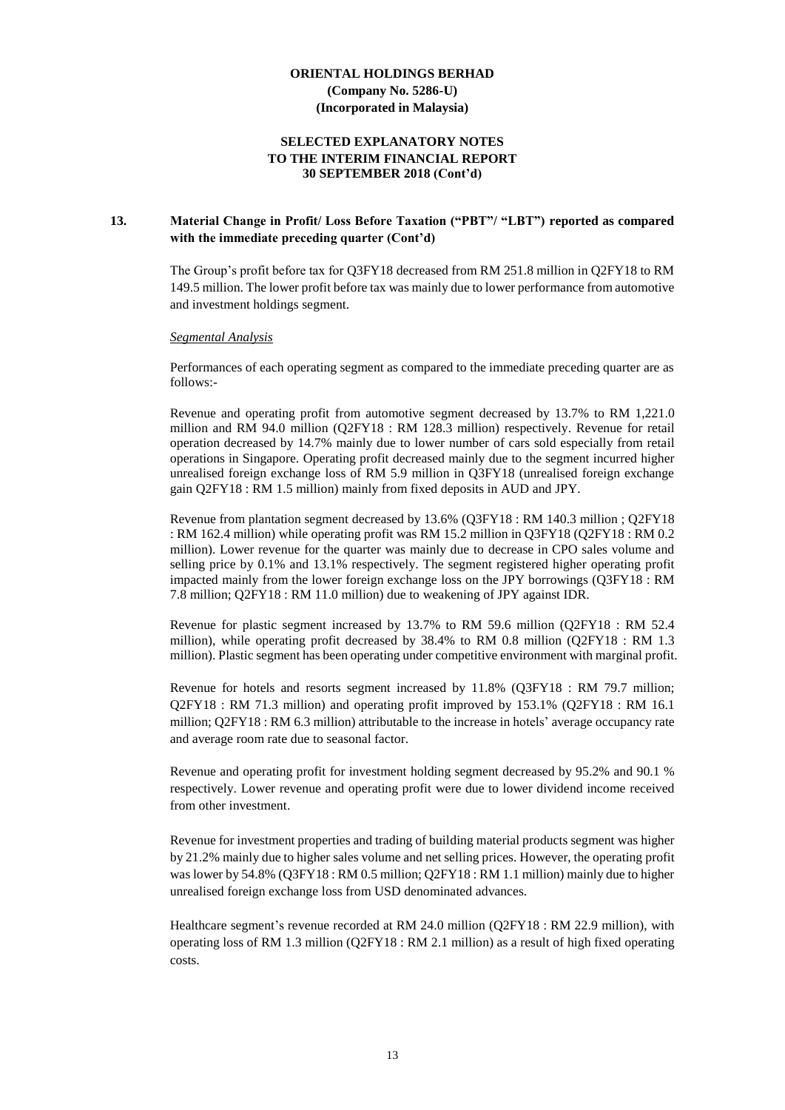#### **SELECTED EXPLANATORY NOTES TO THE INTERIM FINANCIAL REPORT 30 SEPTEMBER 2018 (Cont'd)**

#### **13. Material Change in Profit/ Loss Before Taxation ("PBT"/ "LBT") reported as compared with the immediate preceding quarter (Cont'd)**

The Group's profit before tax for Q3FY18 decreased from RM 251.8 million in Q2FY18 to RM 149.5 million. The lower profit before tax was mainly due to lower performance from automotive and investment holdings segment.

#### *Segmental Analysis*

Performances of each operating segment as compared to the immediate preceding quarter are as follows:-

Revenue and operating profit from automotive segment decreased by 13.7% to RM 1,221.0 million and RM 94.0 million (Q2FY18 : RM 128.3 million) respectively. Revenue for retail operation decreased by 14.7% mainly due to lower number of cars sold especially from retail operations in Singapore. Operating profit decreased mainly due to the segment incurred higher unrealised foreign exchange loss of RM 5.9 million in Q3FY18 (unrealised foreign exchange gain Q2FY18 : RM 1.5 million) mainly from fixed deposits in AUD and JPY.

Revenue from plantation segment decreased by 13.6% (Q3FY18 : RM 140.3 million ; Q2FY18 : RM 162.4 million) while operating profit was RM 15.2 million in Q3FY18 (Q2FY18 : RM 0.2 million). Lower revenue for the quarter was mainly due to decrease in CPO sales volume and selling price by 0.1% and 13.1% respectively. The segment registered higher operating profit impacted mainly from the lower foreign exchange loss on the JPY borrowings (Q3FY18 : RM 7.8 million; Q2FY18 : RM 11.0 million) due to weakening of JPY against IDR.

Revenue for plastic segment increased by 13.7% to RM 59.6 million (Q2FY18 : RM 52.4 million), while operating profit decreased by 38.4% to RM 0.8 million (Q2FY18 : RM 1.3 million). Plastic segment has been operating under competitive environment with marginal profit.

Revenue for hotels and resorts segment increased by 11.8% (Q3FY18 : RM 79.7 million; Q2FY18 : RM 71.3 million) and operating profit improved by 153.1% (Q2FY18 : RM 16.1 million; Q2FY18 : RM 6.3 million) attributable to the increase in hotels' average occupancy rate and average room rate due to seasonal factor.

Revenue and operating profit for investment holding segment decreased by 95.2% and 90.1 % respectively. Lower revenue and operating profit were due to lower dividend income received from other investment.

Revenue for investment properties and trading of building material products segment was higher by 21.2% mainly due to higher sales volume and net selling prices. However, the operating profit was lower by 54.8% (Q3FY18 : RM 0.5 million; Q2FY18 : RM 1.1 million) mainly due to higher unrealised foreign exchange loss from USD denominated advances.

Healthcare segment's revenue recorded at RM 24.0 million (Q2FY18 : RM 22.9 million), with operating loss of RM 1.3 million (Q2FY18 : RM 2.1 million) as a result of high fixed operating costs.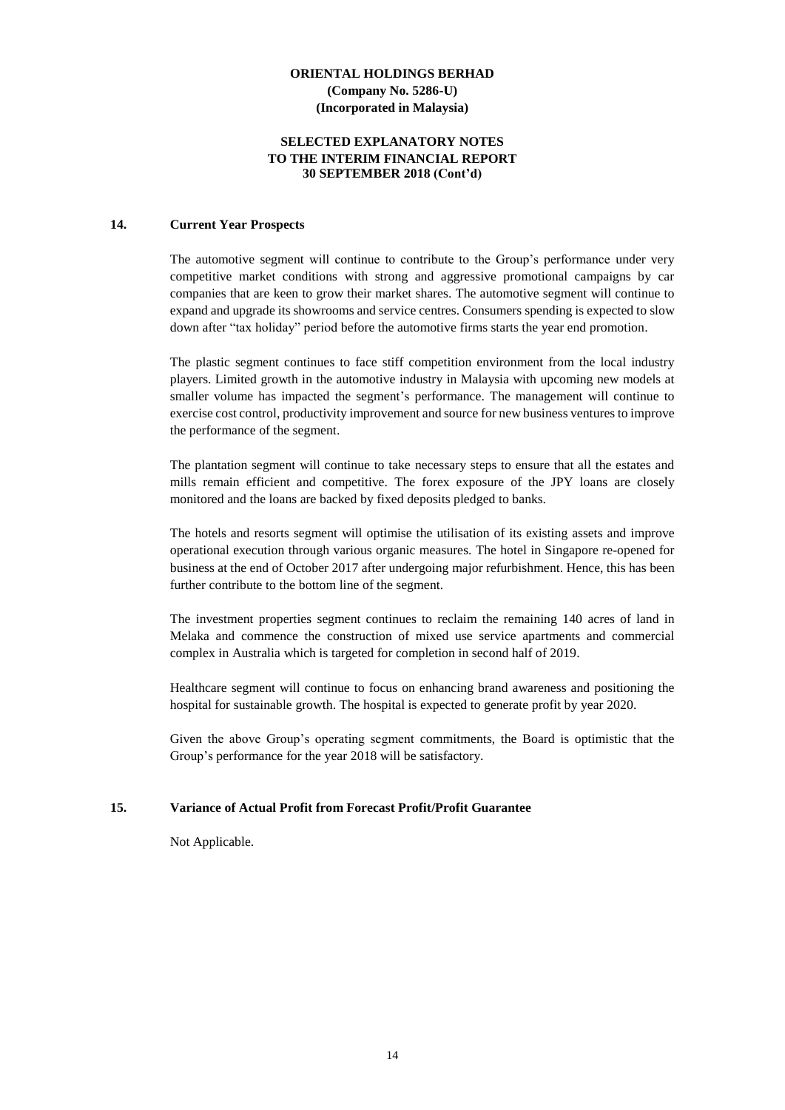#### **SELECTED EXPLANATORY NOTES TO THE INTERIM FINANCIAL REPORT 30 SEPTEMBER 2018 (Cont'd)**

#### **14. Current Year Prospects**

The automotive segment will continue to contribute to the Group's performance under very competitive market conditions with strong and aggressive promotional campaigns by car companies that are keen to grow their market shares. The automotive segment will continue to expand and upgrade its showrooms and service centres. Consumers spending is expected to slow down after "tax holiday" period before the automotive firms starts the year end promotion.

The plastic segment continues to face stiff competition environment from the local industry players. Limited growth in the automotive industry in Malaysia with upcoming new models at smaller volume has impacted the segment's performance. The management will continue to exercise cost control, productivity improvement and source for new business ventures to improve the performance of the segment.

The plantation segment will continue to take necessary steps to ensure that all the estates and mills remain efficient and competitive. The forex exposure of the JPY loans are closely monitored and the loans are backed by fixed deposits pledged to banks.

The hotels and resorts segment will optimise the utilisation of its existing assets and improve operational execution through various organic measures. The hotel in Singapore re-opened for business at the end of October 2017 after undergoing major refurbishment. Hence, this has been further contribute to the bottom line of the segment.

The investment properties segment continues to reclaim the remaining 140 acres of land in Melaka and commence the construction of mixed use service apartments and commercial complex in Australia which is targeted for completion in second half of 2019.

Healthcare segment will continue to focus on enhancing brand awareness and positioning the hospital for sustainable growth. The hospital is expected to generate profit by year 2020.

Given the above Group's operating segment commitments, the Board is optimistic that the Group's performance for the year 2018 will be satisfactory.

#### **15. Variance of Actual Profit from Forecast Profit/Profit Guarantee**

Not Applicable.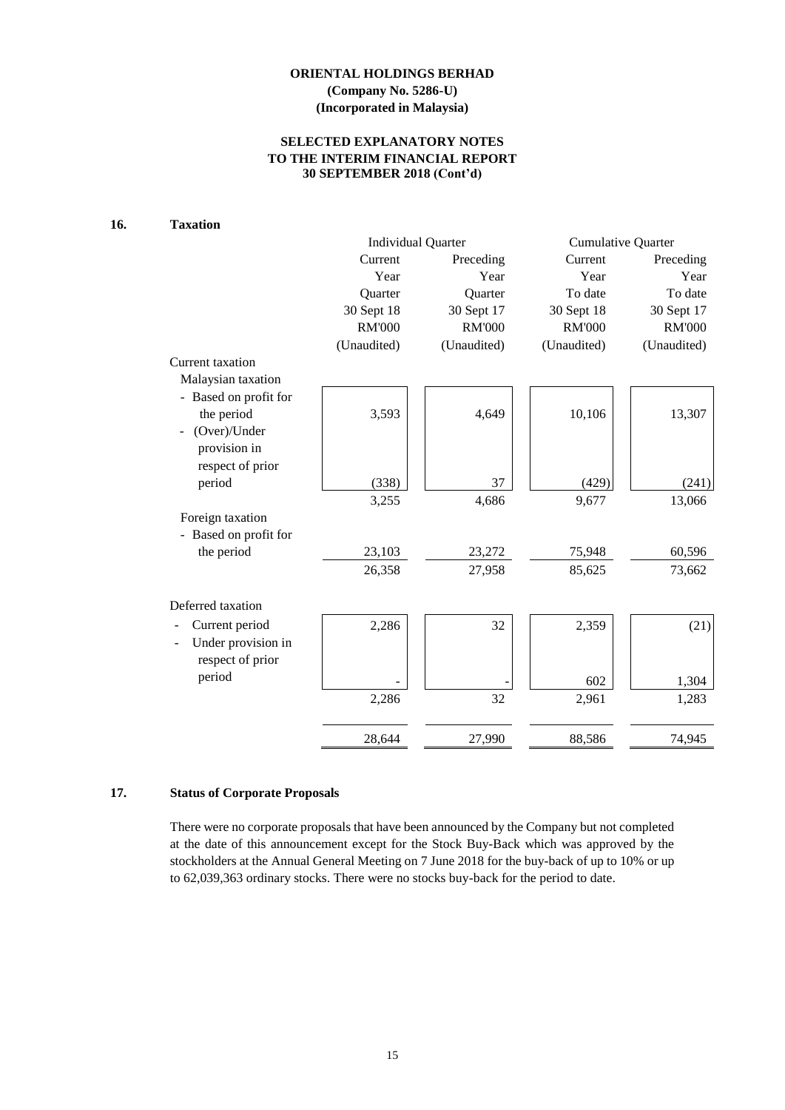## **SELECTED EXPLANATORY NOTES TO THE INTERIM FINANCIAL REPORT 30 SEPTEMBER 2018 (Cont'd)**

# **16. Taxation**

|                       |               | <b>Individual Quarter</b> | <b>Cumulative Quarter</b> |               |  |
|-----------------------|---------------|---------------------------|---------------------------|---------------|--|
|                       | Current       | Preceding                 | Current                   | Preceding     |  |
|                       | Year          | Year                      | Year                      | Year          |  |
|                       | Quarter       | Quarter                   | To date                   | To date       |  |
|                       | 30 Sept 18    | 30 Sept 17                | 30 Sept 18                | 30 Sept 17    |  |
|                       | <b>RM'000</b> | <b>RM'000</b>             | <b>RM'000</b>             | <b>RM'000</b> |  |
|                       | (Unaudited)   | (Unaudited)               | (Unaudited)               | (Unaudited)   |  |
| Current taxation      |               |                           |                           |               |  |
| Malaysian taxation    |               |                           |                           |               |  |
| - Based on profit for |               |                           |                           |               |  |
| the period            | 3,593         | 4,649                     | 10,106                    | 13,307        |  |
| (Over)/Under          |               |                           |                           |               |  |
| provision in          |               |                           |                           |               |  |
| respect of prior      |               |                           |                           |               |  |
| period                | (338)         | 37                        | (429)                     | (241)         |  |
|                       | 3,255         | 4,686                     | 9,677                     | 13,066        |  |
| Foreign taxation      |               |                           |                           |               |  |
| - Based on profit for |               |                           |                           |               |  |
| the period            | 23,103        | 23,272                    | 75,948                    | 60,596        |  |
|                       | 26,358        | 27,958                    | 85,625                    | 73,662        |  |
| Deferred taxation     |               |                           |                           |               |  |
| Current period        | 2,286         | 32                        | 2,359                     | (21)          |  |
| Under provision in    |               |                           |                           |               |  |
| respect of prior      |               |                           |                           |               |  |
| period                |               |                           |                           |               |  |
|                       |               |                           | 602                       | 1,304         |  |
|                       | 2,286         | 32                        | 2,961                     | 1,283         |  |
|                       | 28,644        | 27,990                    | 88,586                    | 74,945        |  |

#### **17. Status of Corporate Proposals**

There were no corporate proposals that have been announced by the Company but not completed at the date of this announcement except for the Stock Buy-Back which was approved by the stockholders at the Annual General Meeting on 7 June 2018 for the buy-back of up to 10% or up to 62,039,363 ordinary stocks. There were no stocks buy-back for the period to date.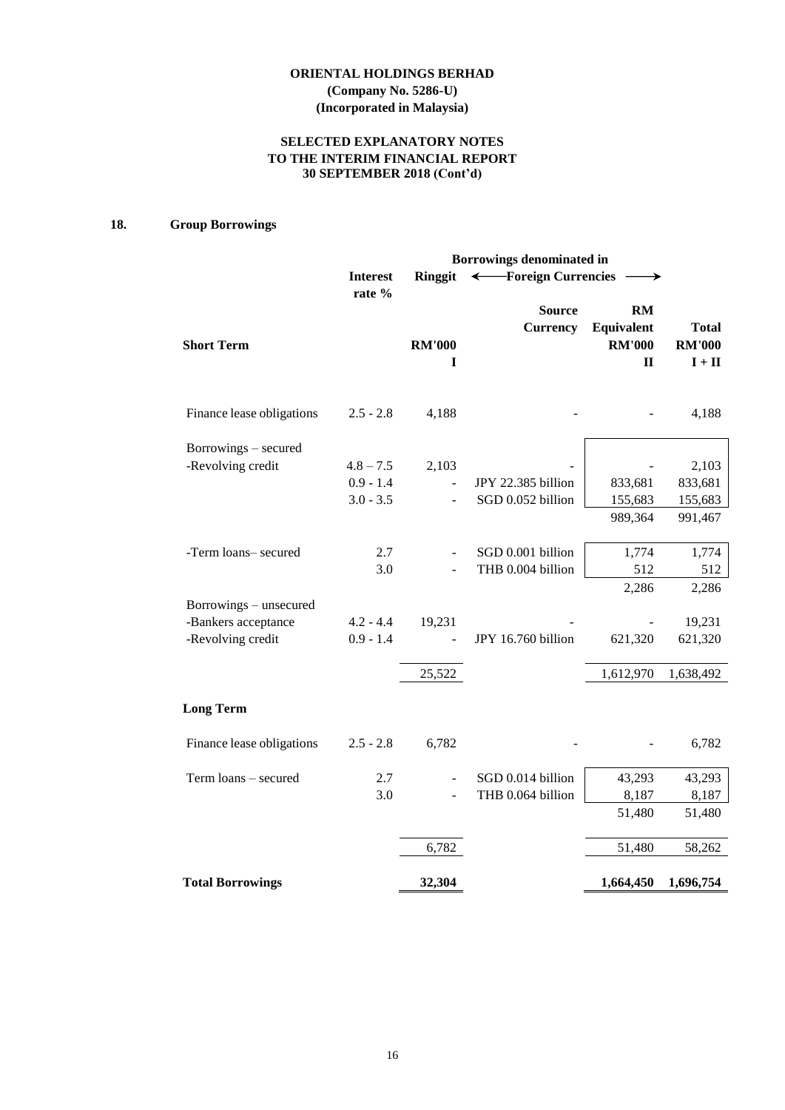# **ORIENTAL HOLDINGS BERHAD (Company No. 5286-U)**

**(Incorporated in Malaysia)**

# **SELECTED EXPLANATORY NOTES TO THE INTERIM FINANCIAL REPORT 30 SEPTEMBER 2018 (Cont'd)**

# **18. Group Borrowings**

|                           | Borrowings denominated in |                    |                                  |                                                          |                                                           |
|---------------------------|---------------------------|--------------------|----------------------------------|----------------------------------------------------------|-----------------------------------------------------------|
|                           | <b>Interest</b>           | <b>Ringgit</b>     | ← Foreign Currencies             |                                                          |                                                           |
| <b>Short Term</b>         | rate %                    | <b>RM'000</b><br>I | <b>Source</b><br><b>Currency</b> | <b>RM</b><br>Equivalent<br><b>RM'000</b><br>$\mathbf{I}$ | <b>Total</b><br><b>RM'000</b><br>$\mathbf{I}+\mathbf{II}$ |
| Finance lease obligations | $2.5 - 2.8$               | 4,188              |                                  |                                                          | 4,188                                                     |
| Borrowings - secured      |                           |                    |                                  |                                                          |                                                           |
| -Revolving credit         | $4.8 - 7.5$               | 2,103              |                                  |                                                          | 2,103                                                     |
|                           | $0.9 - 1.4$               |                    | JPY 22.385 billion               | 833,681                                                  | 833,681                                                   |
|                           | $3.0 - 3.5$               |                    | SGD 0.052 billion                | 155,683                                                  | 155,683                                                   |
|                           |                           |                    |                                  | 989,364                                                  | 991,467                                                   |
| -Term loans- secured      | 2.7                       |                    | SGD 0.001 billion                | 1,774                                                    | 1,774                                                     |
|                           | 3.0                       |                    | THB 0.004 billion                | 512                                                      | 512                                                       |
|                           |                           |                    |                                  | 2,286                                                    | 2,286                                                     |
| Borrowings - unsecured    |                           |                    |                                  |                                                          |                                                           |
| -Bankers acceptance       | $4.2 - 4.4$               | 19,231             |                                  |                                                          | 19,231                                                    |
| -Revolving credit         | $0.9 - 1.4$               |                    | JPY 16.760 billion               | 621,320                                                  | 621,320                                                   |
|                           |                           | 25,522             |                                  | 1,612,970                                                | 1,638,492                                                 |
| <b>Long Term</b>          |                           |                    |                                  |                                                          |                                                           |
| Finance lease obligations | $2.5 - 2.8$               | 6,782              |                                  |                                                          | 6,782                                                     |
| Term loans - secured      | 2.7                       |                    | SGD 0.014 billion                | 43,293                                                   | 43,293                                                    |
|                           | 3.0                       |                    | THB 0.064 billion                | 8,187                                                    | 8,187                                                     |
|                           |                           |                    |                                  | 51,480                                                   | 51,480                                                    |
|                           |                           | 6,782              |                                  | 51,480                                                   | 58,262                                                    |
| <b>Total Borrowings</b>   |                           | 32,304             |                                  | 1,664,450                                                | 1,696,754                                                 |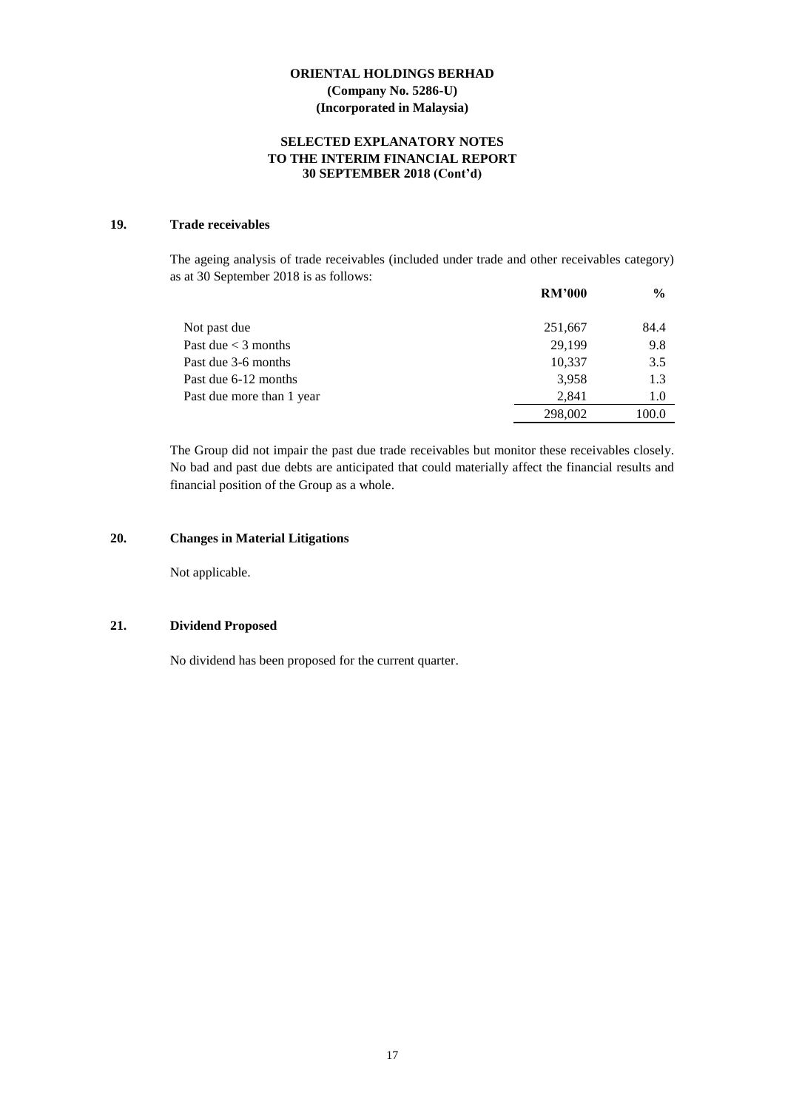#### **SELECTED EXPLANATORY NOTES TO THE INTERIM FINANCIAL REPORT 30 SEPTEMBER 2018 (Cont'd)**

## **19. Trade receivables**

The ageing analysis of trade receivables (included under trade and other receivables category) as at 30 September 2018 is as follows:

|                           | <b>RM'000</b> | $\frac{6}{9}$ |
|---------------------------|---------------|---------------|
| Not past due              | 251,667       | 84.4          |
| Past due $<$ 3 months     | 29.199        | 9.8           |
| Past due 3-6 months       | 10,337        | 3.5           |
| Past due 6-12 months      | 3,958         | 1.3           |
| Past due more than 1 year | 2,841         | 1.0           |
|                           | 298,002       | 100.0         |

The Group did not impair the past due trade receivables but monitor these receivables closely. No bad and past due debts are anticipated that could materially affect the financial results and financial position of the Group as a whole.

#### **20. Changes in Material Litigations**

Not applicable.

#### **21. Dividend Proposed**

No dividend has been proposed for the current quarter.